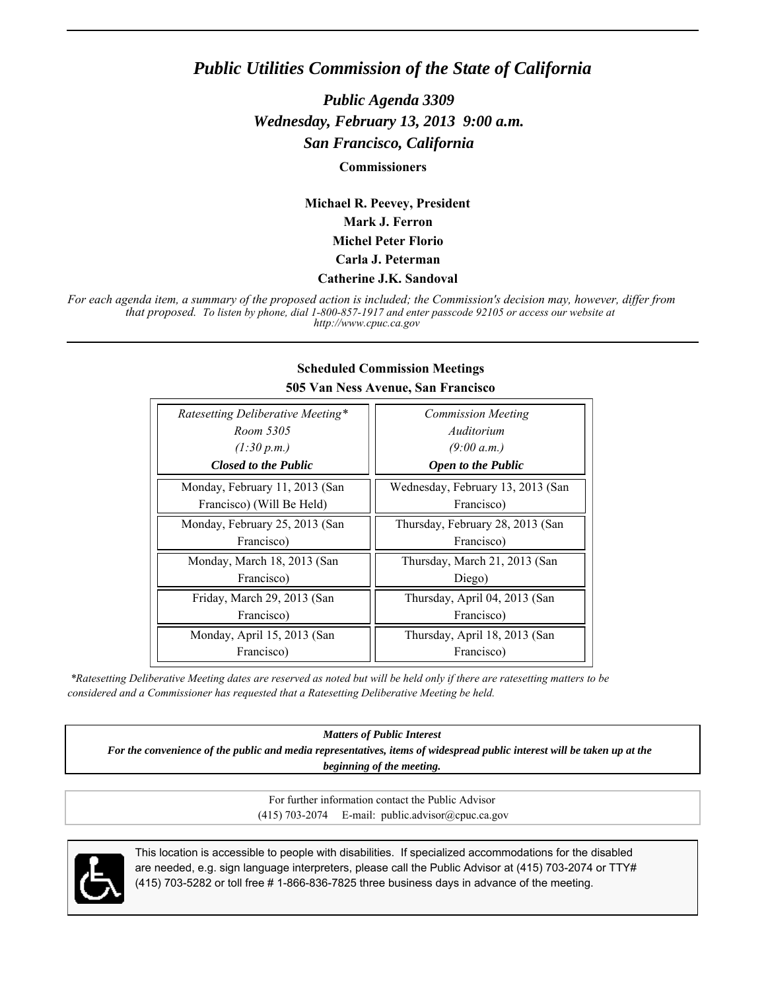## *Public Utilities Commission of the State of California*

*Public Agenda 3309 Wednesday, February 13, 2013 9:00 a.m. San Francisco, California*

**Commissioners**

**Michael R. Peevey, President Mark J. Ferron Michel Peter Florio Carla J. Peterman**

#### **Catherine J.K. Sandoval**

*For each agenda item, a summary of the proposed action is included; the Commission's decision may, however, differ from that proposed. To listen by phone, dial 1-800-857-1917 and enter passcode 92105 or access our website at http://www.cpuc.ca.gov*

| Ratesetting Deliberative Meeting* | <b>Commission Meeting</b>         |
|-----------------------------------|-----------------------------------|
| Room 5305                         | Auditorium                        |
| (1:30 p.m.)                       | (9:00 a.m.)                       |
| <b>Closed to the Public</b>       | <b>Open to the Public</b>         |
| Monday, February 11, 2013 (San    | Wednesday, February 13, 2013 (San |
| Francisco) (Will Be Held)         | Francisco)                        |
| Monday, February 25, 2013 (San    | Thursday, February 28, 2013 (San  |
| Francisco)                        | Francisco)                        |
| Monday, March 18, 2013 (San       | Thursday, March 21, 2013 (San     |
| Francisco)                        | Diego)                            |
| Friday, March 29, 2013 (San       | Thursday, April 04, 2013 (San     |
| Francisco)                        | Francisco)                        |
| Monday, April 15, 2013 (San       | Thursday, April 18, 2013 (San     |
| Francisco)                        | Francisco)                        |

#### **Scheduled Commission Meetings 505 Van Ness Avenue, San Francisco**

 *\*Ratesetting Deliberative Meeting dates are reserved as noted but will be held only if there are ratesetting matters to be considered and a Commissioner has requested that a Ratesetting Deliberative Meeting be held.*

*Matters of Public Interest*

*For the convenience of the public and media representatives, items of widespread public interest will be taken up at the beginning of the meeting.*

> For further information contact the Public Advisor (415) 703-2074 E-mail: public.advisor@cpuc.ca.gov



This location is accessible to people with disabilities. If specialized accommodations for the disabled are needed, e.g. sign language interpreters, please call the Public Advisor at (415) 703-2074 or TTY# (415) 703-5282 or toll free # 1-866-836-7825 three business days in advance of the meeting.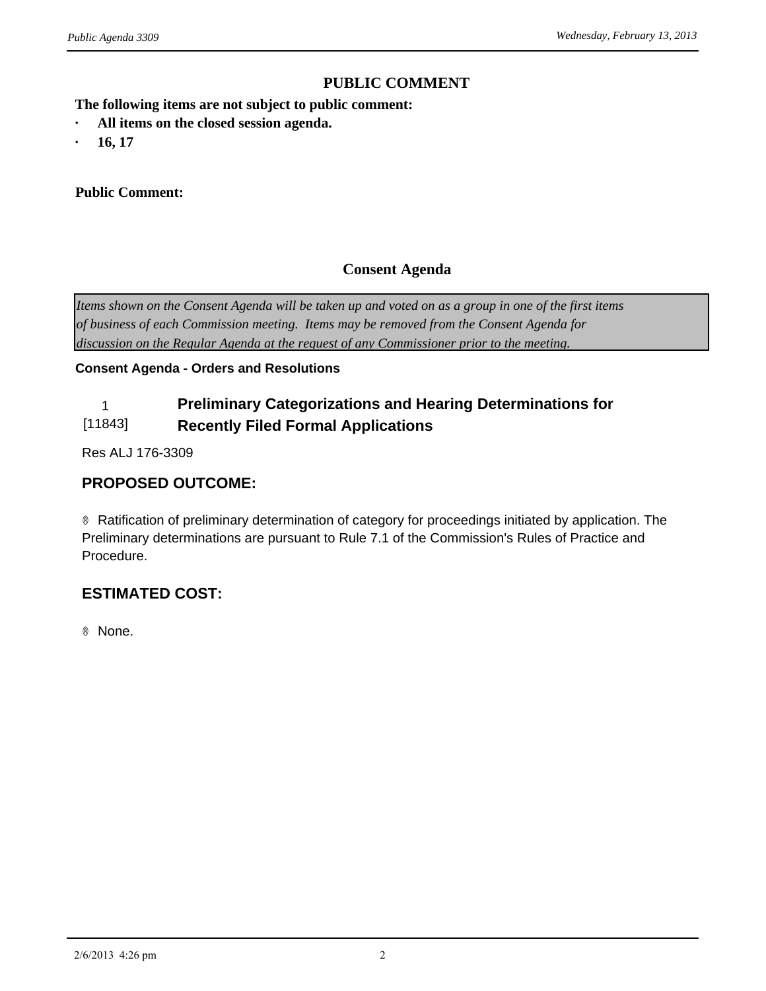### **PUBLIC COMMENT**

**The following items are not subject to public comment:** *ublic Agenda 3309*<br> **PUBLIC CONTINENT CONTINUISE:**<br> **•** All items on the closed session agenda.<br>
• 16, 17

- *ublic Agenda 3309*<br>
The following items are not suby<br> **· All items on the closed sessic<br>
<b>· 16, 17**<br> **Public Comment:**
- 

#### **Public Comment:**

### **Consent Agenda**

*Items shown on the Consent Agenda will be taken up and voted on as a group in one of the first items of business of each Commission meeting. Items may be removed from the Consent Agenda for discussion on the Regular Agenda at the request of any Commissioner prior to the meeting.*

#### **Consent Agenda - Orders and Resolutions**

#### 1 **Preliminary Categorizations and Hearing Determinations for**  [11843] **Recently Filed Formal Applications**

Res ALJ 176-3309

### **PROPOSED OUTCOME:**

® Ratification of preliminary determination of category for proceedings initiated by application. The Preliminary determinations are pursuant to Rule 7.1 of the Commission's Rules of Practice and Procedure.

## **ESTIMATED COST:**

® None.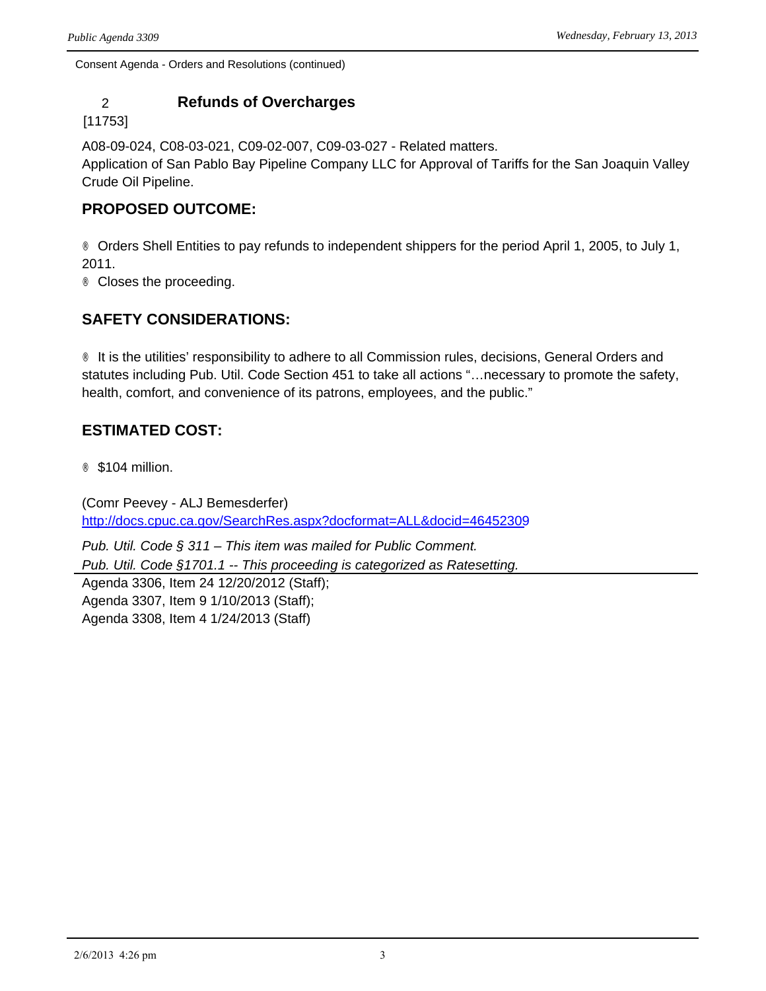## 2 **Refunds of Overcharges**

[11753]

A08-09-024, C08-03-021, C09-02-007, C09-03-027 - Related matters.

Application of San Pablo Bay Pipeline Company LLC for Approval of Tariffs for the San Joaquin Valley Crude Oil Pipeline.

## **PROPOSED OUTCOME:**

® Orders Shell Entities to pay refunds to independent shippers for the period April 1, 2005, to July 1, 2011.

® Closes the proceeding.

## **SAFETY CONSIDERATIONS:**

® It is the utilities' responsibility to adhere to all Commission rules, decisions, General Orders and statutes including Pub. Util. Code Section 451 to take all actions "…necessary to promote the safety, health, comfort, and convenience of its patrons, employees, and the public."

## **ESTIMATED COST:**

® \$104 million.

(Comr Peevey - ALJ Bemesderfer) <http://docs.cpuc.ca.gov/SearchRes.aspx?docformat=ALL&docid=46452309>

*Pub. Util. Code § 311 – This item was mailed for Public Comment. Pub. Util. Code §1701.1 -- This proceeding is categorized as Ratesetting.* Agenda 3306, Item 24 12/20/2012 (Staff); Agenda 3307, Item 9 1/10/2013 (Staff); Agenda 3308, Item 4 1/24/2013 (Staff)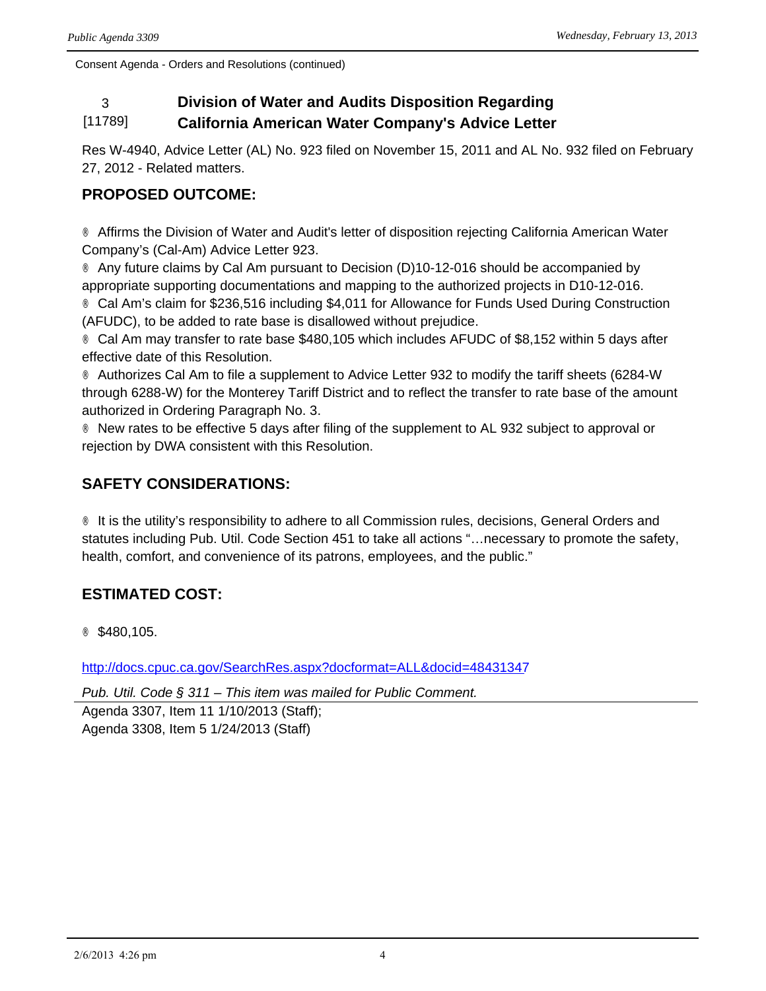# 3 **Division of Water and Audits Disposition Regarding**

#### [11789] **California American Water Company's Advice Letter**

Res W-4940, Advice Letter (AL) No. 923 filed on November 15, 2011 and AL No. 932 filed on February 27, 2012 - Related matters.

## **PROPOSED OUTCOME:**

® Affirms the Division of Water and Audit's letter of disposition rejecting California American Water Company's (Cal-Am) Advice Letter 923.

® Any future claims by Cal Am pursuant to Decision (D)10-12-016 should be accompanied by appropriate supporting documentations and mapping to the authorized projects in D10-12-016. ® Cal Am's claim for \$236,516 including \$4,011 for Allowance for Funds Used During Construction (AFUDC), to be added to rate base is disallowed without prejudice.

® Cal Am may transfer to rate base \$480,105 which includes AFUDC of \$8,152 within 5 days after effective date of this Resolution.

® Authorizes Cal Am to file a supplement to Advice Letter 932 to modify the tariff sheets (6284-W through 6288-W) for the Monterey Tariff District and to reflect the transfer to rate base of the amount authorized in Ordering Paragraph No. 3.

® New rates to be effective 5 days after filing of the supplement to AL 932 subject to approval or rejection by DWA consistent with this Resolution.

## **SAFETY CONSIDERATIONS:**

® It is the utility's responsibility to adhere to all Commission rules, decisions, General Orders and statutes including Pub. Util. Code Section 451 to take all actions "…necessary to promote the safety, health, comfort, and convenience of its patrons, employees, and the public."

## **ESTIMATED COST:**

® \$480,105.

<http://docs.cpuc.ca.gov/SearchRes.aspx?docformat=ALL&docid=48431347>

*Pub. Util. Code § 311 – This item was mailed for Public Comment.*

Agenda 3307, Item 11 1/10/2013 (Staff); Agenda 3308, Item 5 1/24/2013 (Staff)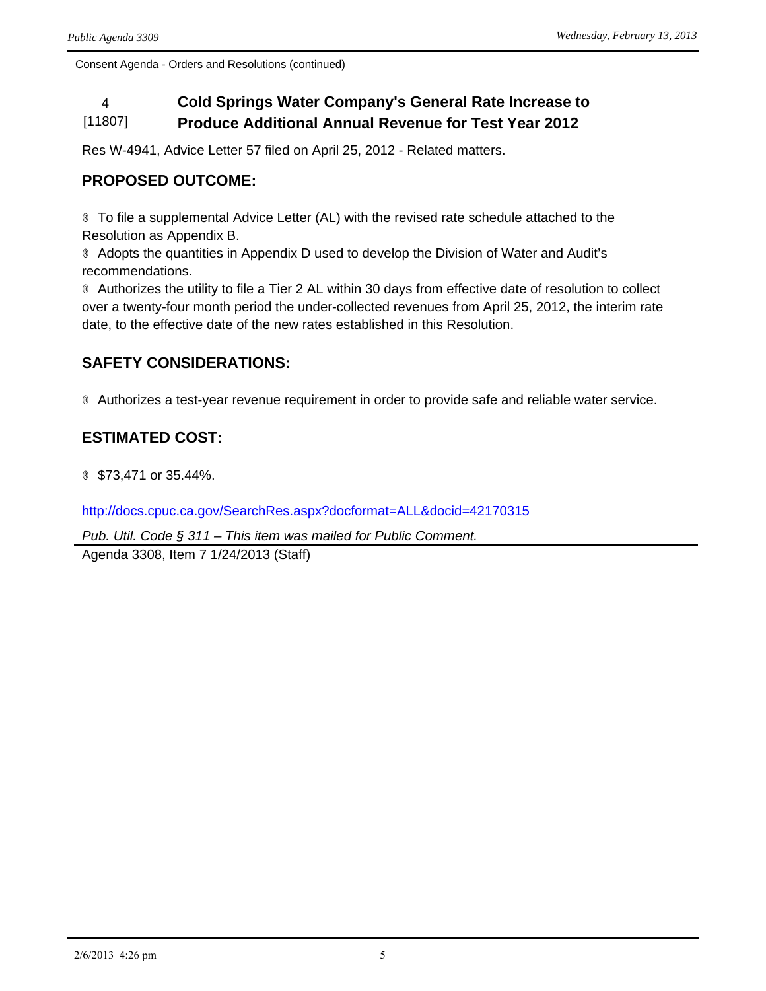#### 4 **Cold Springs Water Company's General Rate Increase to**  [11807] **Produce Additional Annual Revenue for Test Year 2012**

Res W-4941, Advice Letter 57 filed on April 25, 2012 - Related matters.

## **PROPOSED OUTCOME:**

® To file a supplemental Advice Letter (AL) with the revised rate schedule attached to the Resolution as Appendix B.

® Adopts the quantities in Appendix D used to develop the Division of Water and Audit's recommendations.

® Authorizes the utility to file a Tier 2 AL within 30 days from effective date of resolution to collect over a twenty-four month period the under-collected revenues from April 25, 2012, the interim rate date, to the effective date of the new rates established in this Resolution.

## **SAFETY CONSIDERATIONS:**

® Authorizes a test-year revenue requirement in order to provide safe and reliable water service.

## **ESTIMATED COST:**

® \$73,471 or 35.44%.

<http://docs.cpuc.ca.gov/SearchRes.aspx?docformat=ALL&docid=42170315>

*Pub. Util. Code § 311 – This item was mailed for Public Comment.*

Agenda 3308, Item 7 1/24/2013 (Staff)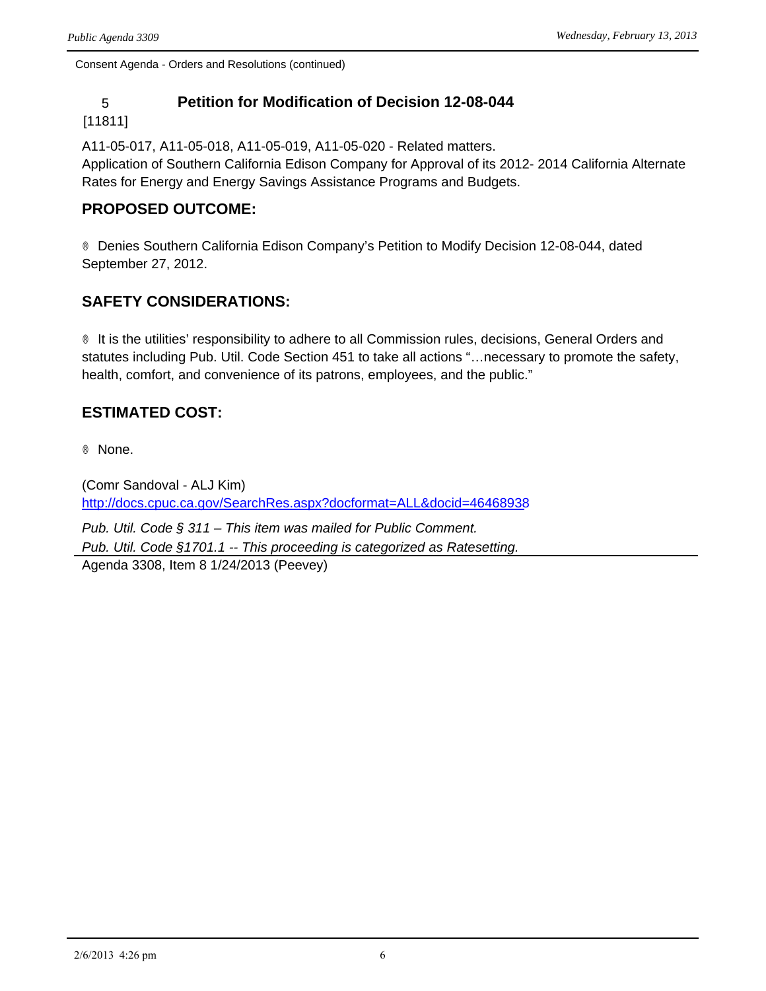## 5 **Petition for Modification of Decision 12-08-044**

#### [11811]

A11-05-017, A11-05-018, A11-05-019, A11-05-020 - Related matters. Application of Southern California Edison Company for Approval of its 2012- 2014 California Alternate Rates for Energy and Energy Savings Assistance Programs and Budgets.

### **PROPOSED OUTCOME:**

® Denies Southern California Edison Company's Petition to Modify Decision 12-08-044, dated September 27, 2012.

## **SAFETY CONSIDERATIONS:**

® It is the utilities' responsibility to adhere to all Commission rules, decisions, General Orders and statutes including Pub. Util. Code Section 451 to take all actions "…necessary to promote the safety, health, comfort, and convenience of its patrons, employees, and the public."

## **ESTIMATED COST:**

® None.

(Comr Sandoval - ALJ Kim) <http://docs.cpuc.ca.gov/SearchRes.aspx?docformat=ALL&docid=46468938>

*Pub. Util. Code § 311 – This item was mailed for Public Comment. Pub. Util. Code §1701.1 -- This proceeding is categorized as Ratesetting.* Agenda 3308, Item 8 1/24/2013 (Peevey)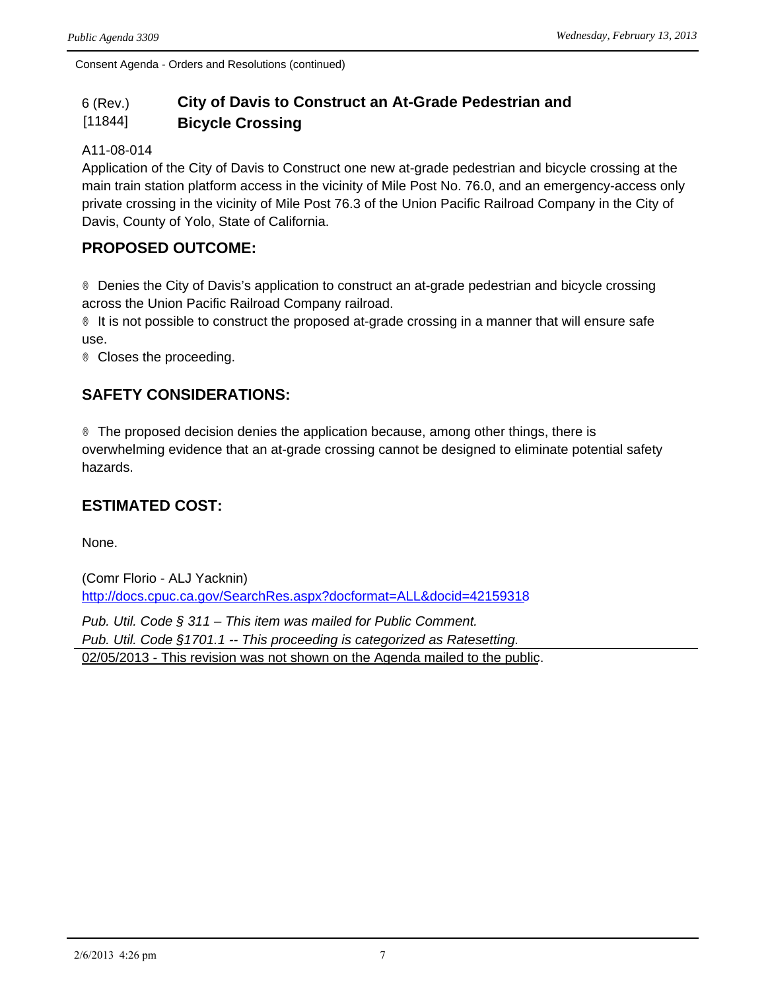#### 6 (Rev.) [11844] **City of Davis to Construct an At-Grade Pedestrian and Bicycle Crossing**

#### A11-08-014

Application of the City of Davis to Construct one new at-grade pedestrian and bicycle crossing at the main train station platform access in the vicinity of Mile Post No. 76.0, and an emergency-access only private crossing in the vicinity of Mile Post 76.3 of the Union Pacific Railroad Company in the City of Davis, County of Yolo, State of California.

### **PROPOSED OUTCOME:**

® Denies the City of Davis's application to construct an at-grade pedestrian and bicycle crossing across the Union Pacific Railroad Company railroad.

® It is not possible to construct the proposed at-grade crossing in a manner that will ensure safe use.

® Closes the proceeding.

## **SAFETY CONSIDERATIONS:**

® The proposed decision denies the application because, among other things, there is overwhelming evidence that an at-grade crossing cannot be designed to eliminate potential safety hazards.

### **ESTIMATED COST:**

None.

(Comr Florio - ALJ Yacknin) <http://docs.cpuc.ca.gov/SearchRes.aspx?docformat=ALL&docid=42159318>

*Pub. Util. Code § 311 – This item was mailed for Public Comment. Pub. Util. Code §1701.1 -- This proceeding is categorized as Ratesetting.* 02/05/2013 - This revision was not shown on the Agenda mailed to the public.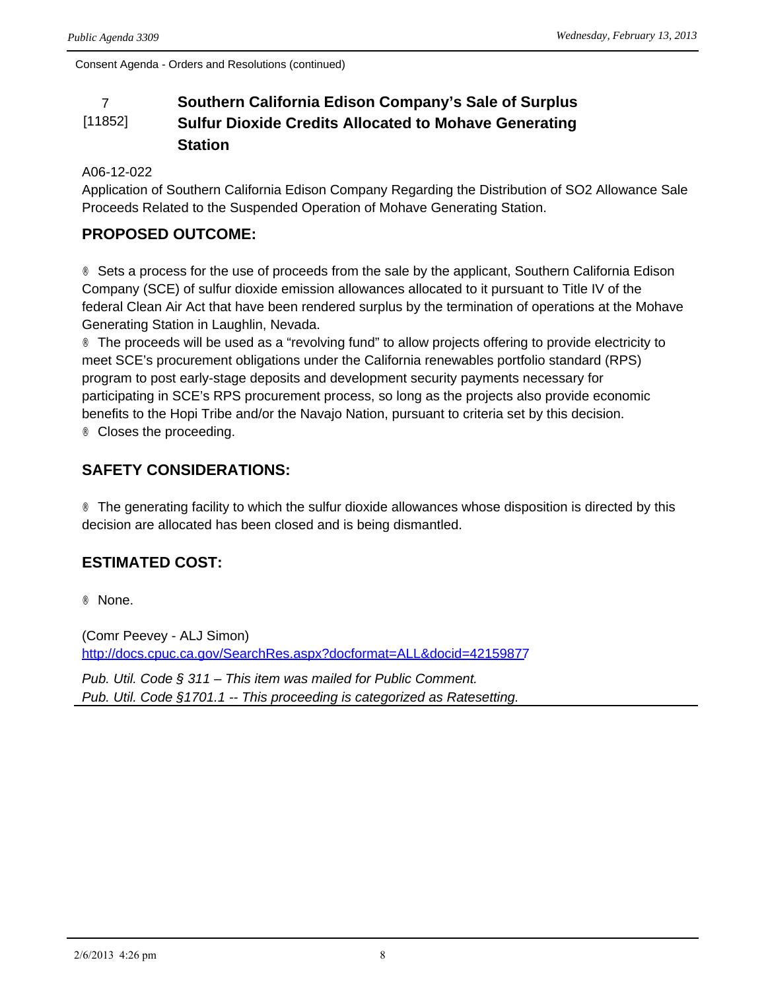#### 7 **Southern California Edison Company's Sale of Surplus**  [11852] **Sulfur Dioxide Credits Allocated to Mohave Generating Station**

#### A06-12-022

Application of Southern California Edison Company Regarding the Distribution of SO2 Allowance Sale Proceeds Related to the Suspended Operation of Mohave Generating Station.

## **PROPOSED OUTCOME:**

® Sets a process for the use of proceeds from the sale by the applicant, Southern California Edison Company (SCE) of sulfur dioxide emission allowances allocated to it pursuant to Title IV of the federal Clean Air Act that have been rendered surplus by the termination of operations at the Mohave Generating Station in Laughlin, Nevada.

® The proceeds will be used as a "revolving fund" to allow projects offering to provide electricity to meet SCE's procurement obligations under the California renewables portfolio standard (RPS) program to post early-stage deposits and development security payments necessary for participating in SCE's RPS procurement process, so long as the projects also provide economic benefits to the Hopi Tribe and/or the Navajo Nation, pursuant to criteria set by this decision. ® Closes the proceeding.

## **SAFETY CONSIDERATIONS:**

® The generating facility to which the sulfur dioxide allowances whose disposition is directed by this decision are allocated has been closed and is being dismantled.

## **ESTIMATED COST:**

® None.

(Comr Peevey - ALJ Simon) <http://docs.cpuc.ca.gov/SearchRes.aspx?docformat=ALL&docid=42159877>

*Pub. Util. Code § 311 – This item was mailed for Public Comment. Pub. Util. Code §1701.1 -- This proceeding is categorized as Ratesetting.*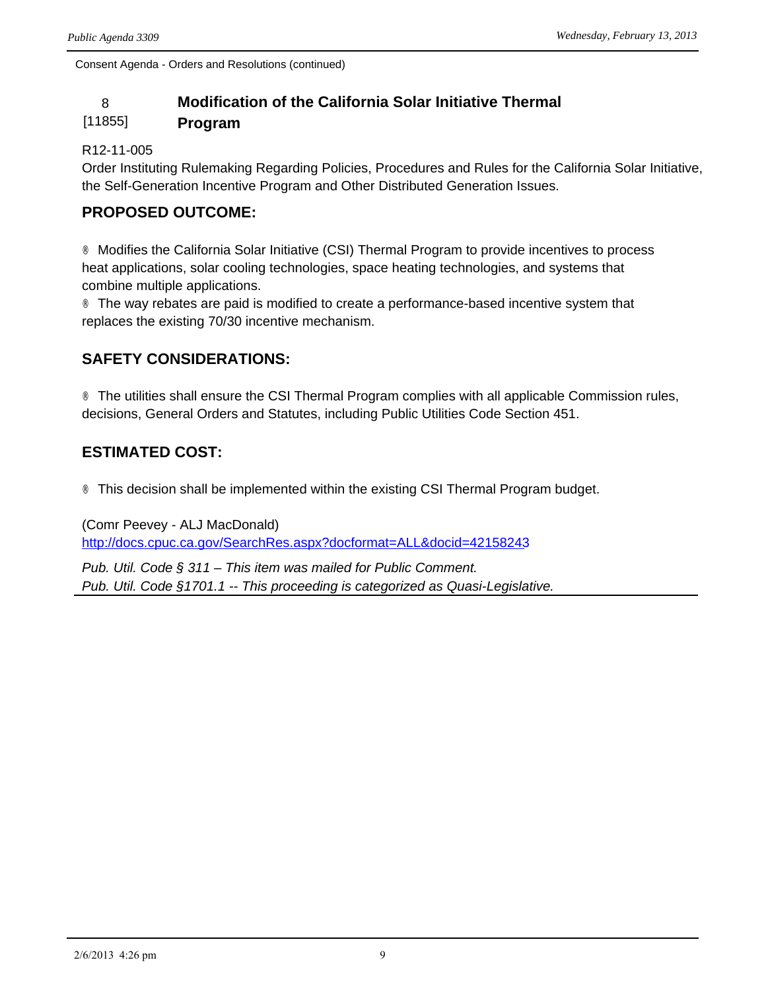## 8 **Modification of the California Solar Initiative Thermal**

#### [11855] **Program**

#### R12-11-005

Order Instituting Rulemaking Regarding Policies, Procedures and Rules for the California Solar Initiative, the Self-Generation Incentive Program and Other Distributed Generation Issues.

## **PROPOSED OUTCOME:**

® Modifies the California Solar Initiative (CSI) Thermal Program to provide incentives to process heat applications, solar cooling technologies, space heating technologies, and systems that combine multiple applications.

® The way rebates are paid is modified to create a performance-based incentive system that replaces the existing 70/30 incentive mechanism.

## **SAFETY CONSIDERATIONS:**

® The utilities shall ensure the CSI Thermal Program complies with all applicable Commission rules, decisions, General Orders and Statutes, including Public Utilities Code Section 451.

## **ESTIMATED COST:**

® This decision shall be implemented within the existing CSI Thermal Program budget.

(Comr Peevey - ALJ MacDonald) <http://docs.cpuc.ca.gov/SearchRes.aspx?docformat=ALL&docid=42158243>

*Pub. Util. Code § 311 – This item was mailed for Public Comment. Pub. Util. Code §1701.1 -- This proceeding is categorized as Quasi-Legislative.*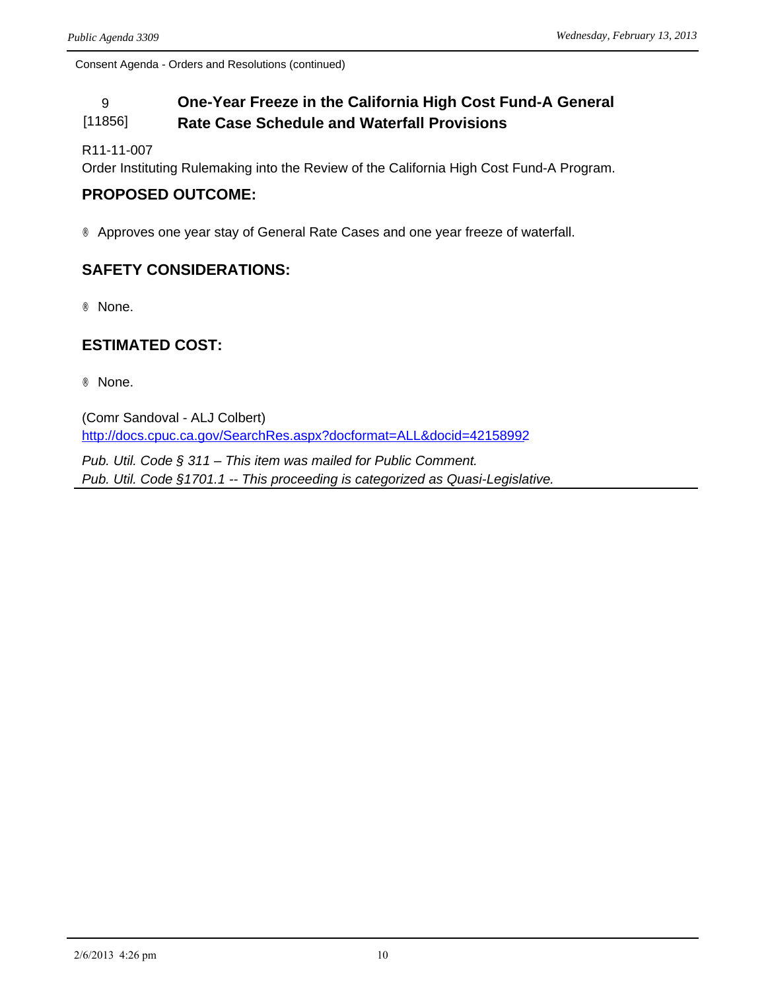#### 9 **One-Year Freeze in the California High Cost Fund-A General**  [11856] **Rate Case Schedule and Waterfall Provisions**

R11-11-007

Order Instituting Rulemaking into the Review of the California High Cost Fund-A Program.

### **PROPOSED OUTCOME:**

® Approves one year stay of General Rate Cases and one year freeze of waterfall.

## **SAFETY CONSIDERATIONS:**

® None.

#### **ESTIMATED COST:**

® None.

(Comr Sandoval - ALJ Colbert) <http://docs.cpuc.ca.gov/SearchRes.aspx?docformat=ALL&docid=42158992>

*Pub. Util. Code § 311 – This item was mailed for Public Comment. Pub. Util. Code §1701.1 -- This proceeding is categorized as Quasi-Legislative.*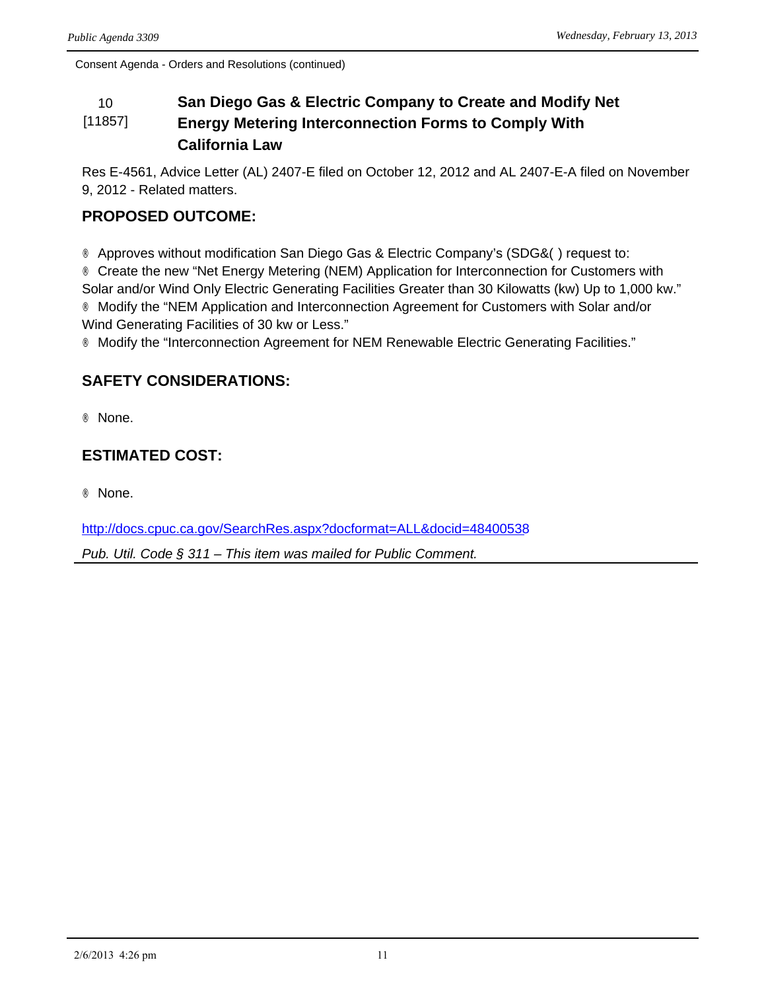#### 10 **San Diego Gas & Electric Company to Create and Modify Net**  [11857] **Energy Metering Interconnection Forms to Comply With California Law**

Res E-4561, Advice Letter (AL) 2407-E filed on October 12, 2012 and AL 2407-E-A filed on November 9, 2012 - Related matters.

## **PROPOSED OUTCOME:**

® Approves without modification San Diego Gas & Electric Company's (SDG&O) request to: ® Create the new "Net Energy Metering (NEM) Application for Interconnection for Customers with Solar and/or Wind Only Electric Generating Facilities Greater than 30 Kilowatts (kw) Up to 1,000 kw." ® Modify the "NEM Application and Interconnection Agreement for Customers with Solar and/or Wind Generating Facilities of 30 kw or Less."

® Modify the "Interconnection Agreement for NEM Renewable Electric Generating Facilities."

## **SAFETY CONSIDERATIONS:**

® None.

## **ESTIMATED COST:**

® None.

<http://docs.cpuc.ca.gov/SearchRes.aspx?docformat=ALL&docid=48400538>

*Pub. Util. Code § 311 – This item was mailed for Public Comment.*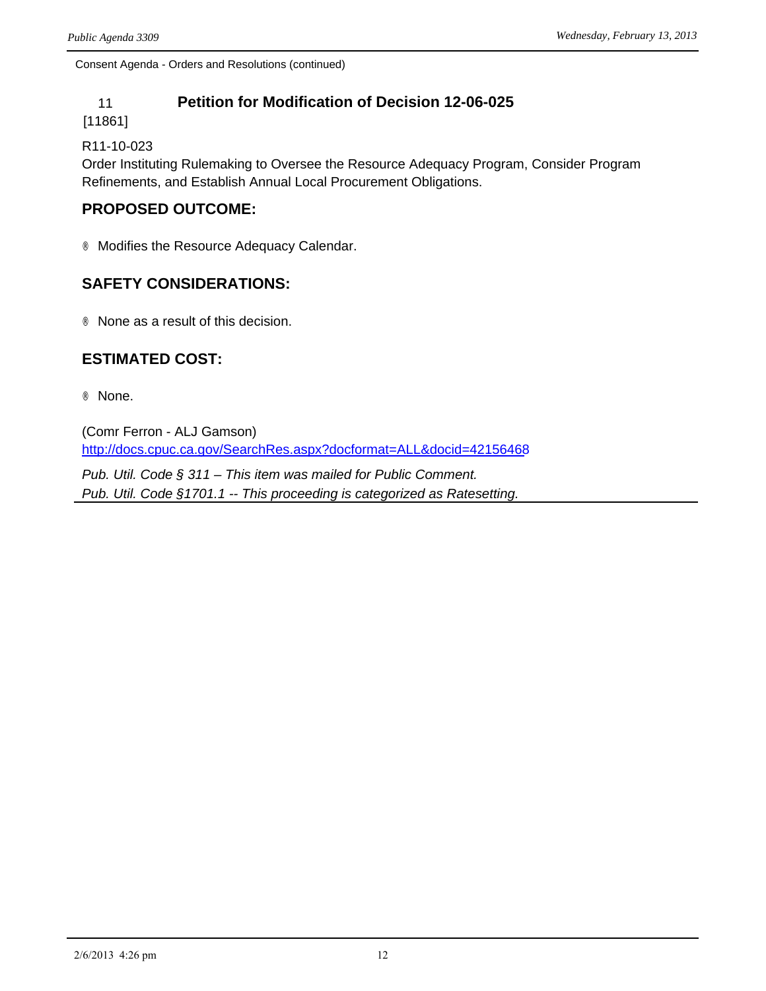## 11 **Petition for Modification of Decision 12-06-025**

[11861]

R11-10-023

Order Instituting Rulemaking to Oversee the Resource Adequacy Program, Consider Program Refinements, and Establish Annual Local Procurement Obligations.

## **PROPOSED OUTCOME:**

® Modifies the Resource Adequacy Calendar.

## **SAFETY CONSIDERATIONS:**

® None as a result of this decision.

## **ESTIMATED COST:**

® None.

(Comr Ferron - ALJ Gamson) <http://docs.cpuc.ca.gov/SearchRes.aspx?docformat=ALL&docid=42156468>

*Pub. Util. Code § 311 – This item was mailed for Public Comment. Pub. Util. Code §1701.1 -- This proceeding is categorized as Ratesetting.*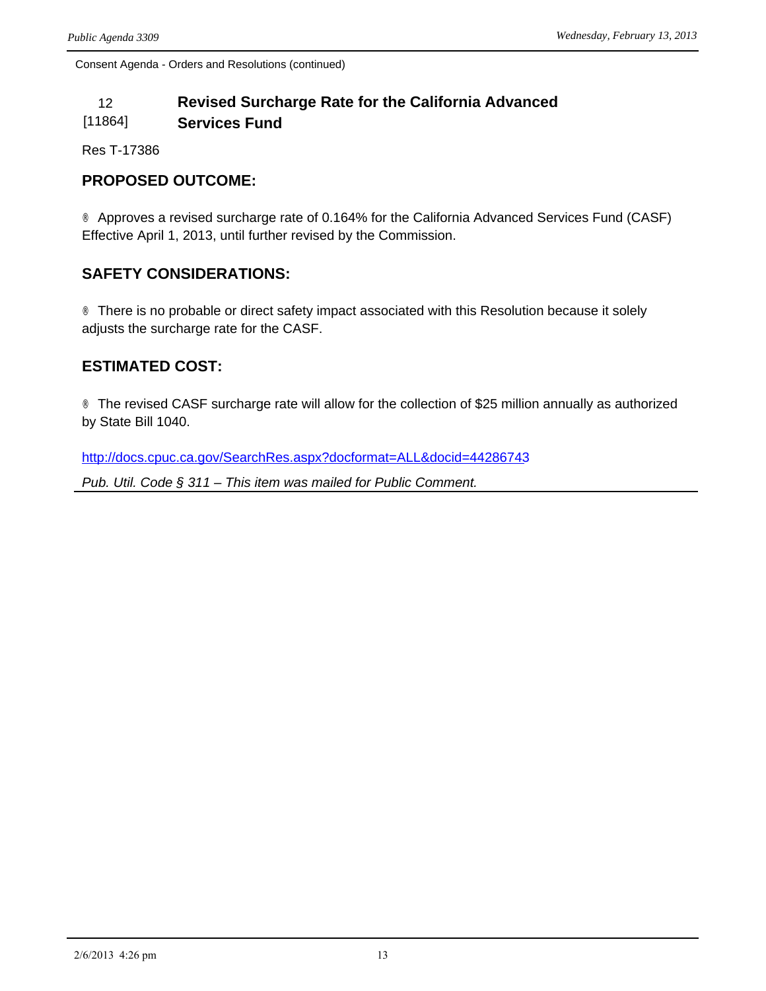#### 12 **Revised Surcharge Rate for the California Advanced**  [11864] **Services Fund**

Res T-17386

### **PROPOSED OUTCOME:**

® Approves a revised surcharge rate of 0.164% for the California Advanced Services Fund (CASF) Effective April 1, 2013, until further revised by the Commission.

## **SAFETY CONSIDERATIONS:**

® There is no probable or direct safety impact associated with this Resolution because it solely adjusts the surcharge rate for the CASF.

## **ESTIMATED COST:**

® The revised CASF surcharge rate will allow for the collection of \$25 million annually as authorized by State Bill 1040.

<http://docs.cpuc.ca.gov/SearchRes.aspx?docformat=ALL&docid=44286743>

*Pub. Util. Code § 311 – This item was mailed for Public Comment.*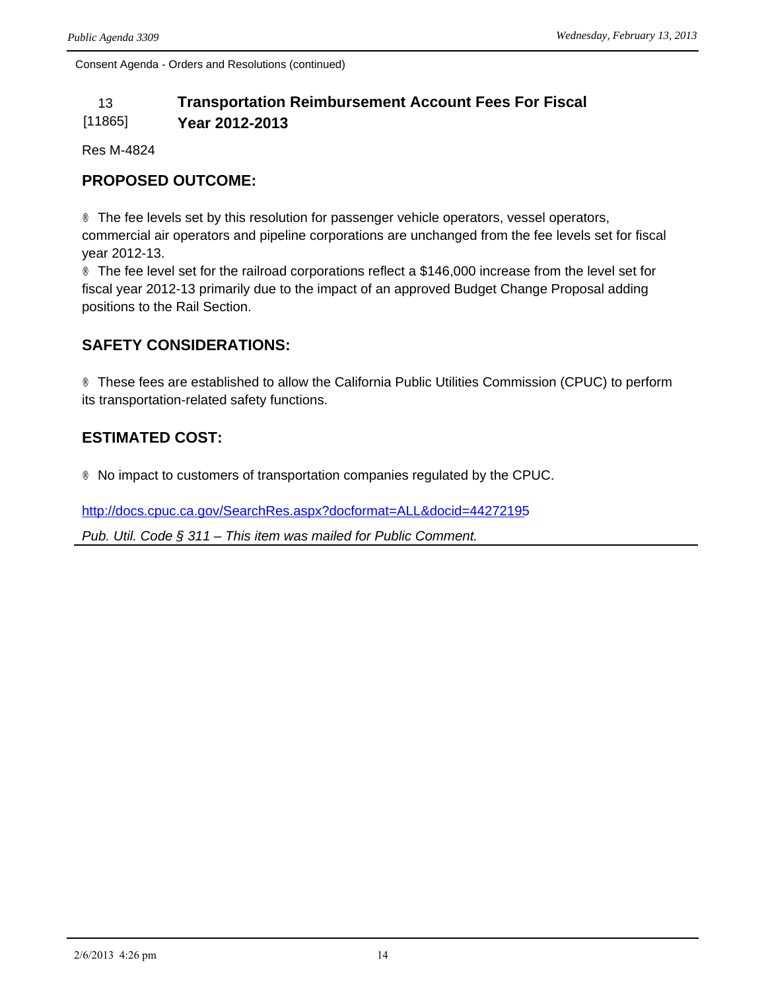#### 13 **Transportation Reimbursement Account Fees For Fiscal**  [11865] **Year 2012-2013**

Res M-4824

## **PROPOSED OUTCOME:**

® The fee levels set by this resolution for passenger vehicle operators, vessel operators, commercial air operators and pipeline corporations are unchanged from the fee levels set for fiscal year 2012-13.

® The fee level set for the railroad corporations reflect a \$146,000 increase from the level set for fiscal year 2012-13 primarily due to the impact of an approved Budget Change Proposal adding positions to the Rail Section.

## **SAFETY CONSIDERATIONS:**

® These fees are established to allow the California Public Utilities Commission (CPUC) to perform its transportation-related safety functions.

## **ESTIMATED COST:**

® No impact to customers of transportation companies regulated by the CPUC.

<http://docs.cpuc.ca.gov/SearchRes.aspx?docformat=ALL&docid=44272195>

*Pub. Util. Code § 311 – This item was mailed for Public Comment.*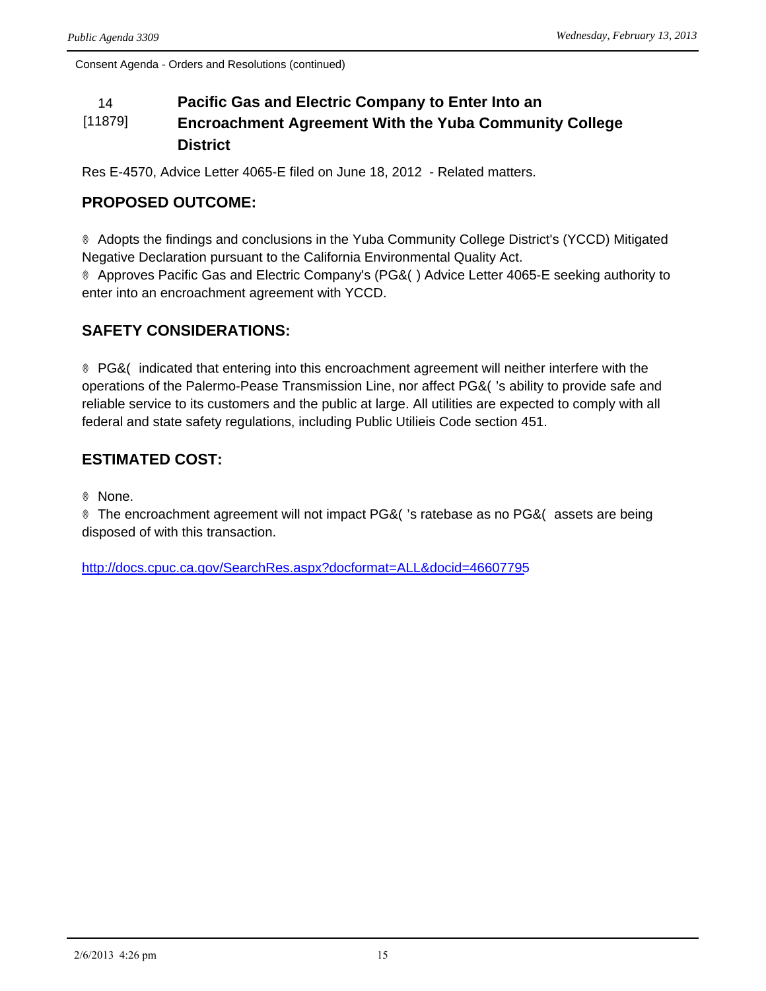#### 14 **Pacific Gas and Electric Company to Enter Into an**  [11879] **Encroachment Agreement With the Yuba Community College District**

Res E-4570, Advice Letter 4065-E filed on June 18, 2012 - Related matters.

## **PROPOSED OUTCOME:**

® Adopts the findings and conclusions in the Yuba Community College District's (YCCD) Mitigated Negative Declaration pursuant to the California Environmental Quality Act.

® Approves Pacific Gas and Electric Company's (PG&O) Advice Letter 4065-E seeking authority to enter into an encroachment agreement with YCCD.

## **SAFETY CONSIDERATIONS:**

® PG&Ò indicated that entering into this encroachment agreement will neither interfere with the operations of the Palermo-Pease Transmission Line, nor affect  $PG&O$ 's ability to provide safe and reliable service to its customers and the public at large. All utilities are expected to comply with all federal and state safety regulations, including Public Utilieis Code section 451.

## **ESTIMATED COST:**

® None.

® The encroachment agreement will not impact PG&Ò's ratebase as no PG&Ò assets are being disposed of with this transaction.

<http://docs.cpuc.ca.gov/SearchRes.aspx?docformat=ALL&docid=46607795>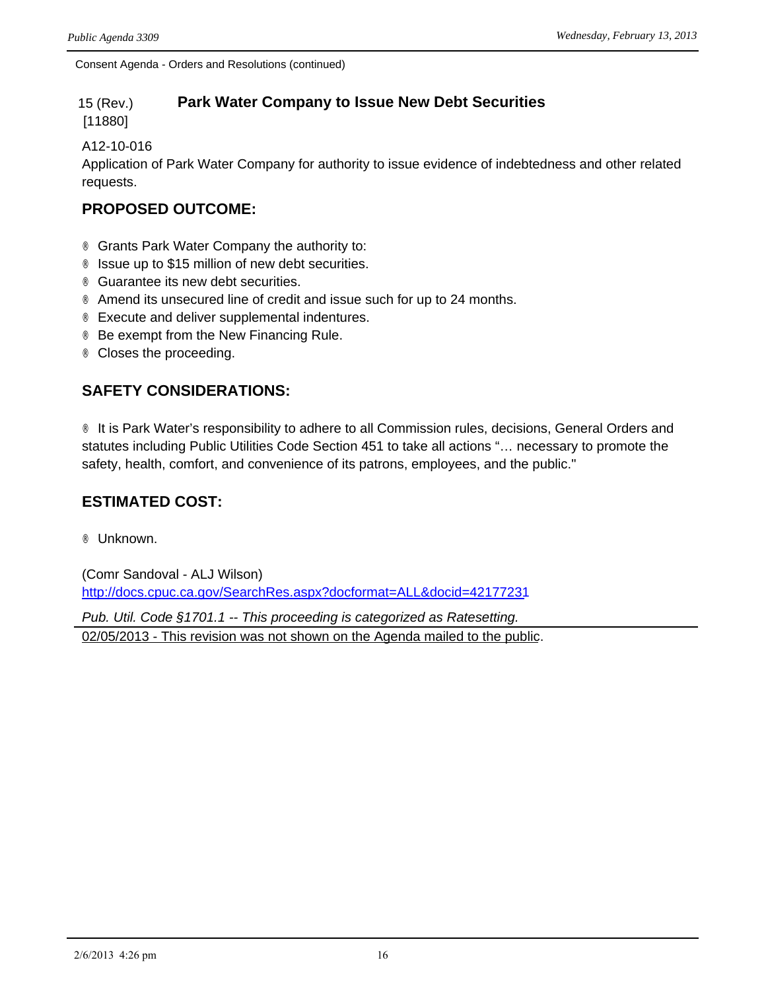#### 15 (Rev.) **Park Water Company to Issue New Debt Securities**

[11880]

#### A12-10-016

Application of Park Water Company for authority to issue evidence of indebtedness and other related requests.

## **PROPOSED OUTCOME:**

- ® Grants Park Water Company the authority to:
- ® Issue up to \$15 million of new debt securities.
- ® Guarantee its new debt securities.
- ® Amend its unsecured line of credit and issue such for up to 24 months.
- ® Execute and deliver supplemental indentures.
- ® Be exempt from the New Financing Rule.
- ® Closes the proceeding.

## **SAFETY CONSIDERATIONS:**

® It is Park Water's responsibility to adhere to all Commission rules, decisions, General Orders and statutes including Public Utilities Code Section 451 to take all actions "… necessary to promote the safety, health, comfort, and convenience of its patrons, employees, and the public."

## **ESTIMATED COST:**

® Unknown.

(Comr Sandoval - ALJ Wilson) <http://docs.cpuc.ca.gov/SearchRes.aspx?docformat=ALL&docid=42177231>

*Pub. Util. Code §1701.1 -- This proceeding is categorized as Ratesetting.* 02/05/2013 - This revision was not shown on the Agenda mailed to the public.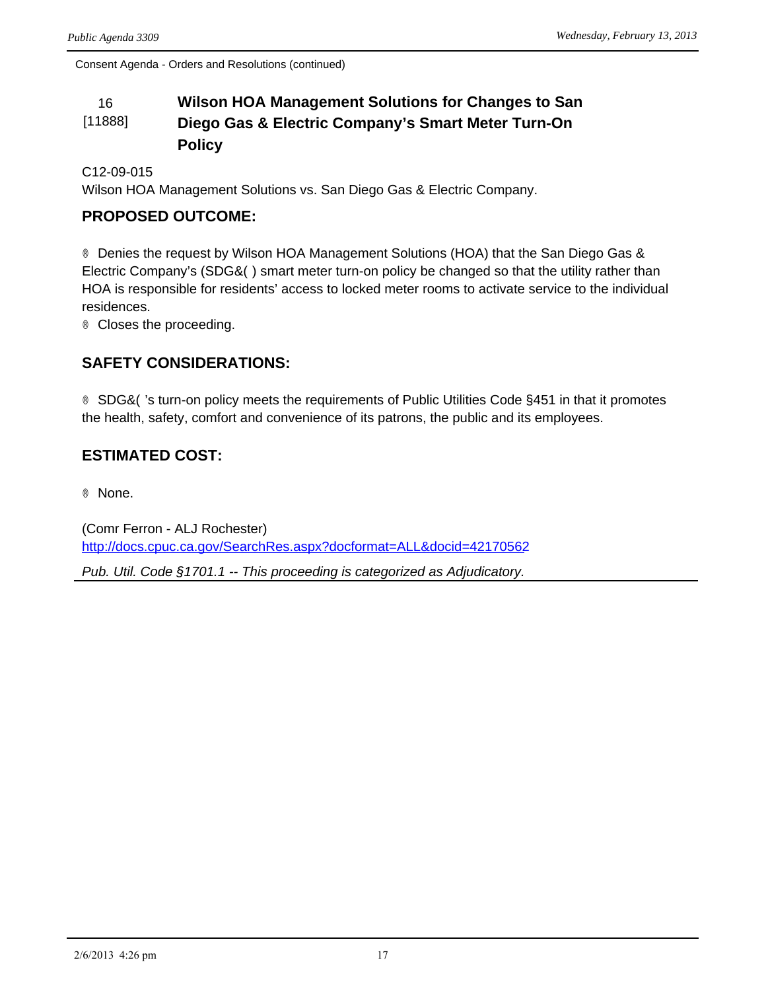#### 16 **Wilson HOA Management Solutions for Changes to San**  [11888] **Diego Gas & Electric Company's Smart Meter Turn-On Policy**

C12-09-015

Wilson HOA Management Solutions vs. San Diego Gas & Electric Company.

## **PROPOSED OUTCOME:**

® Denies the request by Wilson HOA Management Solutions (HOA) that the San Diego Gas & Electric Company's (SDG& $\ddot{O}$ ) smart meter turn-on policy be changed so that the utility rather than HOA is responsible for residents' access to locked meter rooms to activate service to the individual residences.

® Closes the proceeding.

## **SAFETY CONSIDERATIONS:**

® SDG&O's turn-on policy meets the requirements of Public Utilities Code §451 in that it promotes the health, safety, comfort and convenience of its patrons, the public and its employees.

## **ESTIMATED COST:**

® None.

(Comr Ferron - ALJ Rochester) <http://docs.cpuc.ca.gov/SearchRes.aspx?docformat=ALL&docid=42170562>

*Pub. Util. Code §1701.1 -- This proceeding is categorized as Adjudicatory.*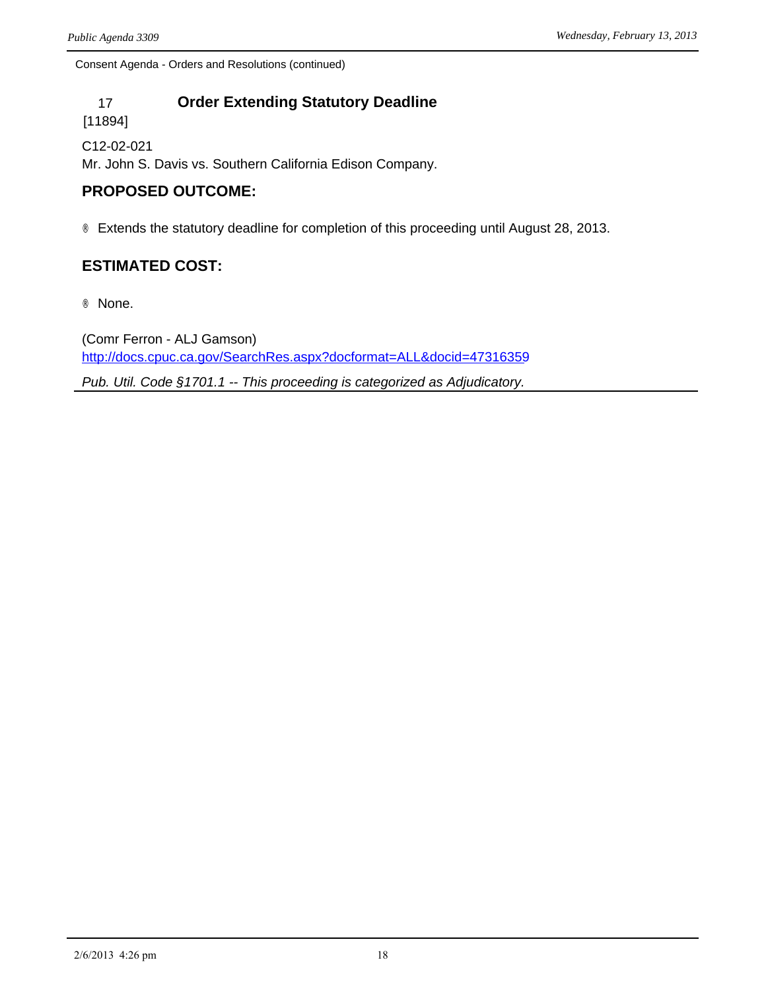## 17 **Order Extending Statutory Deadline**

[11894]

C12-02-021 Mr. John S. Davis vs. Southern California Edison Company.

## **PROPOSED OUTCOME:**

® Extends the statutory deadline for completion of this proceeding until August 28, 2013.

## **ESTIMATED COST:**

® None.

(Comr Ferron - ALJ Gamson) <http://docs.cpuc.ca.gov/SearchRes.aspx?docformat=ALL&docid=47316359>

*Pub. Util. Code §1701.1 -- This proceeding is categorized as Adjudicatory.*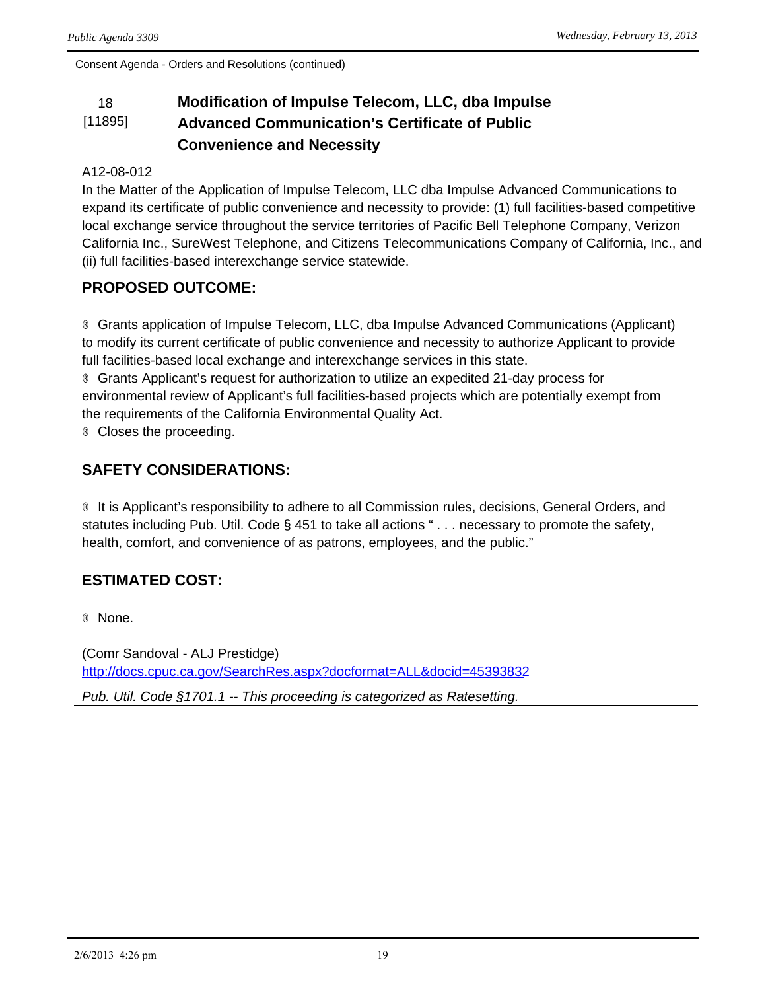#### 18 **Modification of Impulse Telecom, LLC, dba Impulse**  [11895] **Advanced Communication's Certificate of Public Convenience and Necessity**

#### A12-08-012

In the Matter of the Application of Impulse Telecom, LLC dba Impulse Advanced Communications to expand its certificate of public convenience and necessity to provide: (1) full facilities-based competitive local exchange service throughout the service territories of Pacific Bell Telephone Company, Verizon California Inc., SureWest Telephone, and Citizens Telecommunications Company of California, Inc., and (ii) full facilities-based interexchange service statewide.

## **PROPOSED OUTCOME:**

® Grants application of Impulse Telecom, LLC, dba Impulse Advanced Communications (Applicant) to modify its current certificate of public convenience and necessity to authorize Applicant to provide full facilities-based local exchange and interexchange services in this state.

® Grants Applicant's request for authorization to utilize an expedited 21-day process for environmental review of Applicant's full facilities-based projects which are potentially exempt from the requirements of the California Environmental Quality Act.

® Closes the proceeding.

## **SAFETY CONSIDERATIONS:**

® It is Applicant's responsibility to adhere to all Commission rules, decisions, General Orders, and statutes including Pub. Util. Code § 451 to take all actions " . . . necessary to promote the safety, health, comfort, and convenience of as patrons, employees, and the public."

## **ESTIMATED COST:**

® None.

(Comr Sandoval - ALJ Prestidge) <http://docs.cpuc.ca.gov/SearchRes.aspx?docformat=ALL&docid=45393832>

*Pub. Util. Code §1701.1 -- This proceeding is categorized as Ratesetting.*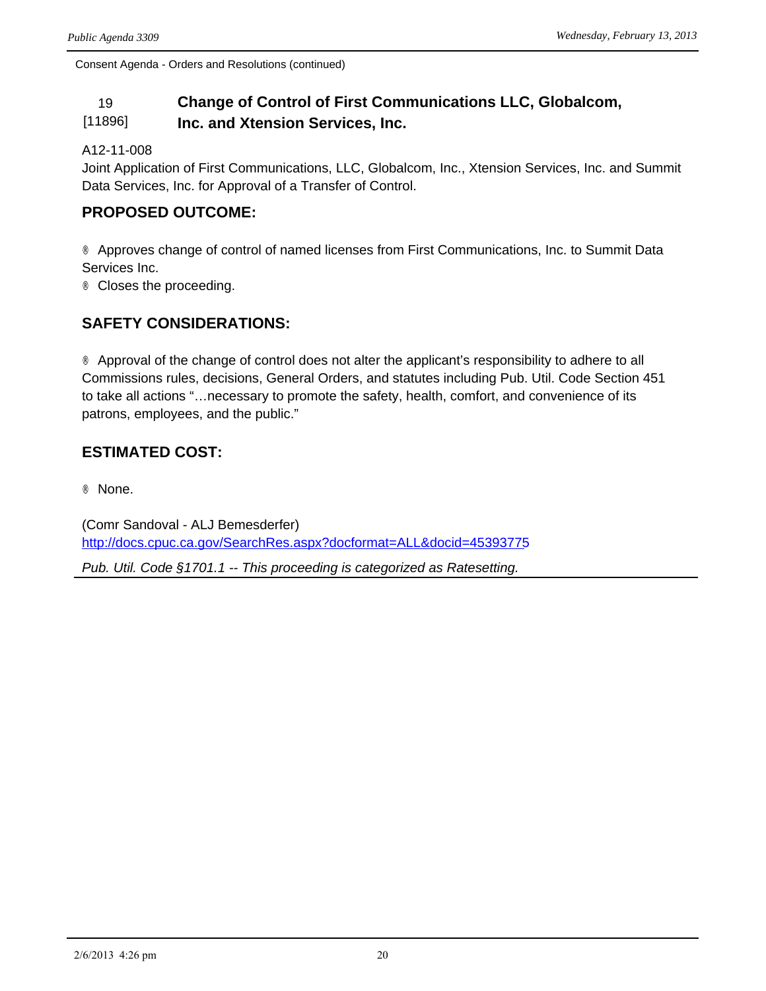#### 19 **Change of Control of First Communications LLC, Globalcom,**  [11896] **Inc. and Xtension Services, Inc.**

A12-11-008

Joint Application of First Communications, LLC, Globalcom, Inc., Xtension Services, Inc. and Summit Data Services, Inc. for Approval of a Transfer of Control.

### **PROPOSED OUTCOME:**

® Approves change of control of named licenses from First Communications, Inc. to Summit Data Services Inc.

® Closes the proceeding.

## **SAFETY CONSIDERATIONS:**

® Approval of the change of control does not alter the applicant's responsibility to adhere to all Commissions rules, decisions, General Orders, and statutes including Pub. Util. Code Section 451 to take all actions "…necessary to promote the safety, health, comfort, and convenience of its patrons, employees, and the public."

## **ESTIMATED COST:**

® None.

(Comr Sandoval - ALJ Bemesderfer) <http://docs.cpuc.ca.gov/SearchRes.aspx?docformat=ALL&docid=45393775>

*Pub. Util. Code §1701.1 -- This proceeding is categorized as Ratesetting.*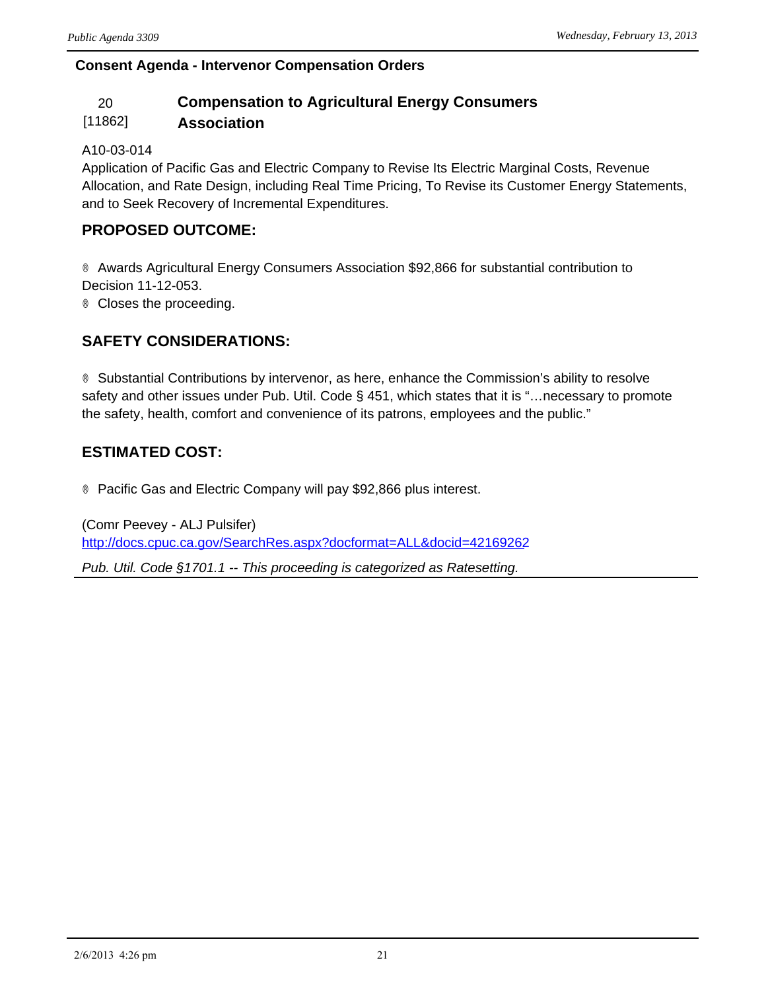### **Consent Agenda - Intervenor Compensation Orders**

# 20 **Compensation to Agricultural Energy Consumers**

#### [11862] **Association**

#### A10-03-014

Application of Pacific Gas and Electric Company to Revise Its Electric Marginal Costs, Revenue Allocation, and Rate Design, including Real Time Pricing, To Revise its Customer Energy Statements, and to Seek Recovery of Incremental Expenditures.

## **PROPOSED OUTCOME:**

® Awards Agricultural Energy Consumers Association \$92,866 for substantial contribution to Decision 11-12-053. ® Closes the proceeding.

## **SAFETY CONSIDERATIONS:**

® Substantial Contributions by intervenor, as here, enhance the Commission's ability to resolve safety and other issues under Pub. Util. Code § 451, which states that it is "…necessary to promote the safety, health, comfort and convenience of its patrons, employees and the public."

## **ESTIMATED COST:**

® Pacific Gas and Electric Company will pay \$92,866 plus interest.

(Comr Peevey - ALJ Pulsifer) <http://docs.cpuc.ca.gov/SearchRes.aspx?docformat=ALL&docid=42169262> *Pub. Util. Code §1701.1 -- This proceeding is categorized as Ratesetting.*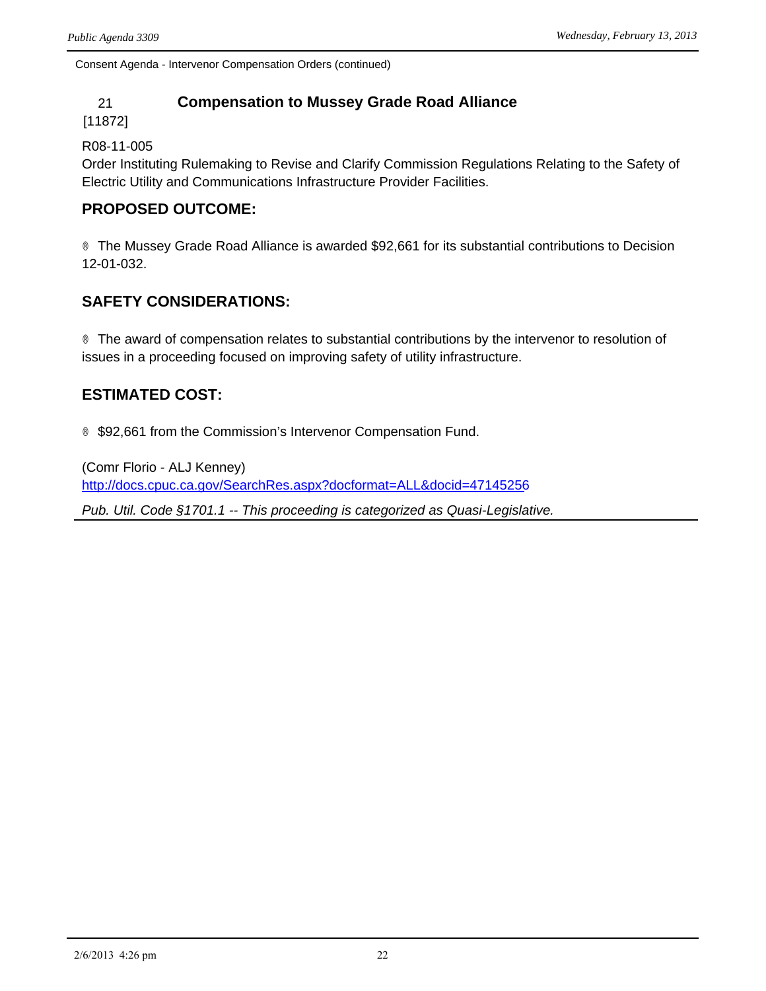Consent Agenda - Intervenor Compensation Orders (continued)

### 21 **Compensation to Mussey Grade Road Alliance**

#### [11872]

#### R08-11-005

Order Instituting Rulemaking to Revise and Clarify Commission Regulations Relating to the Safety of Electric Utility and Communications Infrastructure Provider Facilities.

### **PROPOSED OUTCOME:**

® The Mussey Grade Road Alliance is awarded \$92,661 for its substantial contributions to Decision 12-01-032.

## **SAFETY CONSIDERATIONS:**

® The award of compensation relates to substantial contributions by the intervenor to resolution of issues in a proceeding focused on improving safety of utility infrastructure.

## **ESTIMATED COST:**

® \$92,661 from the Commission's Intervenor Compensation Fund.

(Comr Florio - ALJ Kenney) <http://docs.cpuc.ca.gov/SearchRes.aspx?docformat=ALL&docid=47145256> *Pub. Util. Code §1701.1 -- This proceeding is categorized as Quasi-Legislative.*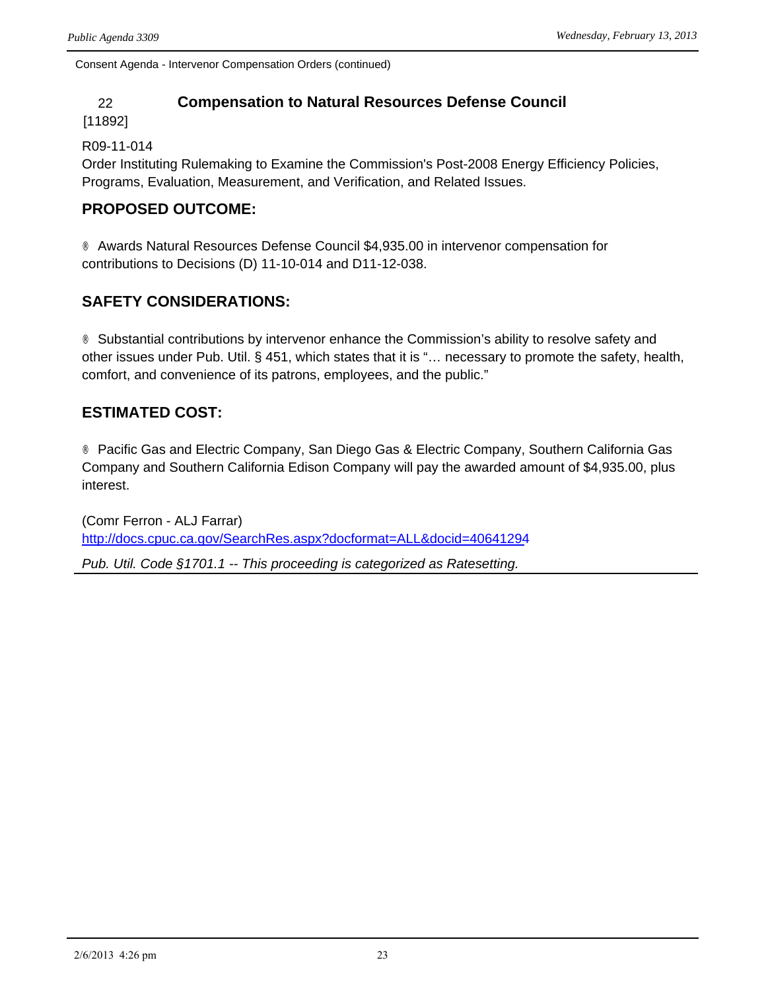Consent Agenda - Intervenor Compensation Orders (continued)

#### 22 **Compensation to Natural Resources Defense Council**

#### [11892]

#### R09-11-014

Order Instituting Rulemaking to Examine the Commission's Post-2008 Energy Efficiency Policies, Programs, Evaluation, Measurement, and Verification, and Related Issues.

### **PROPOSED OUTCOME:**

® Awards Natural Resources Defense Council \$4,935.00 in intervenor compensation for contributions to Decisions (D) 11-10-014 and D11-12-038.

## **SAFETY CONSIDERATIONS:**

® Substantial contributions by intervenor enhance the Commission's ability to resolve safety and other issues under Pub. Util. § 451, which states that it is "… necessary to promote the safety, health, comfort, and convenience of its patrons, employees, and the public."

## **ESTIMATED COST:**

® Pacific Gas and Electric Company, San Diego Gas & Electric Company, Southern California Gas Company and Southern California Edison Company will pay the awarded amount of \$4,935.00, plus interest.

(Comr Ferron - ALJ Farrar) <http://docs.cpuc.ca.gov/SearchRes.aspx?docformat=ALL&docid=40641294>

*Pub. Util. Code §1701.1 -- This proceeding is categorized as Ratesetting.*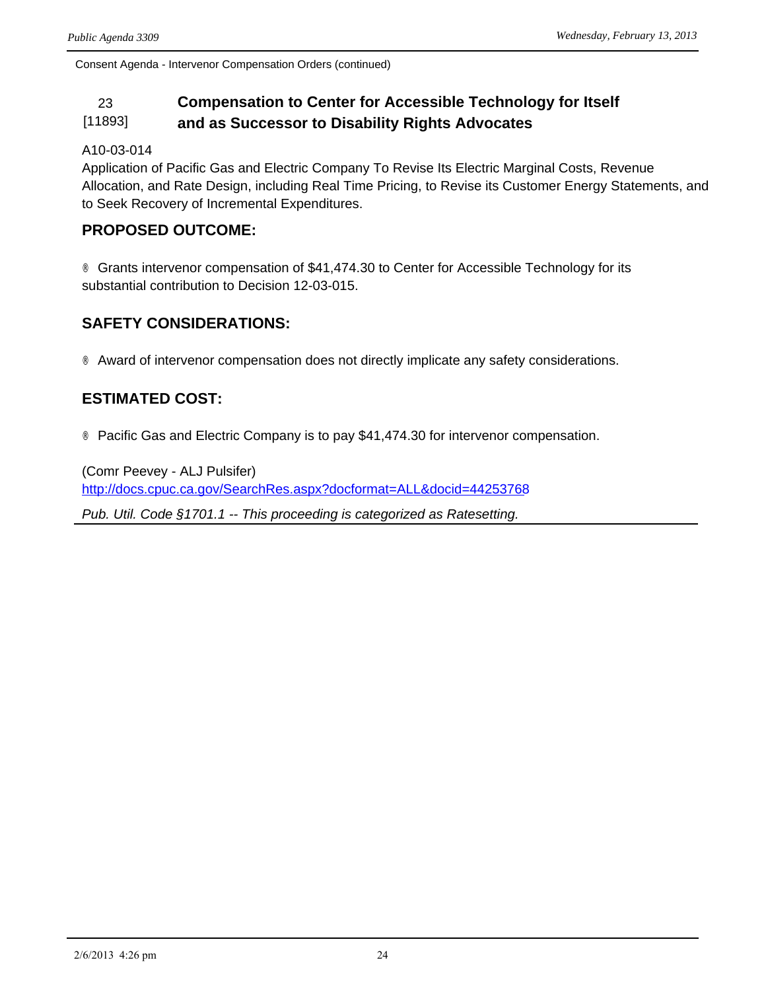Consent Agenda - Intervenor Compensation Orders (continued)

#### 23 **Compensation to Center for Accessible Technology for Itself**  [11893] **and as Successor to Disability Rights Advocates**

#### A10-03-014

Application of Pacific Gas and Electric Company To Revise Its Electric Marginal Costs, Revenue Allocation, and Rate Design, including Real Time Pricing, to Revise its Customer Energy Statements, and to Seek Recovery of Incremental Expenditures.

#### **PROPOSED OUTCOME:**

® Grants intervenor compensation of \$41,474.30 to Center for Accessible Technology for its substantial contribution to Decision 12-03-015.

#### **SAFETY CONSIDERATIONS:**

® Award of intervenor compensation does not directly implicate any safety considerations.

### **ESTIMATED COST:**

® Pacific Gas and Electric Company is to pay \$41,474.30 for intervenor compensation.

(Comr Peevey - ALJ Pulsifer) <http://docs.cpuc.ca.gov/SearchRes.aspx?docformat=ALL&docid=44253768> *Pub. Util. Code §1701.1 -- This proceeding is categorized as Ratesetting.*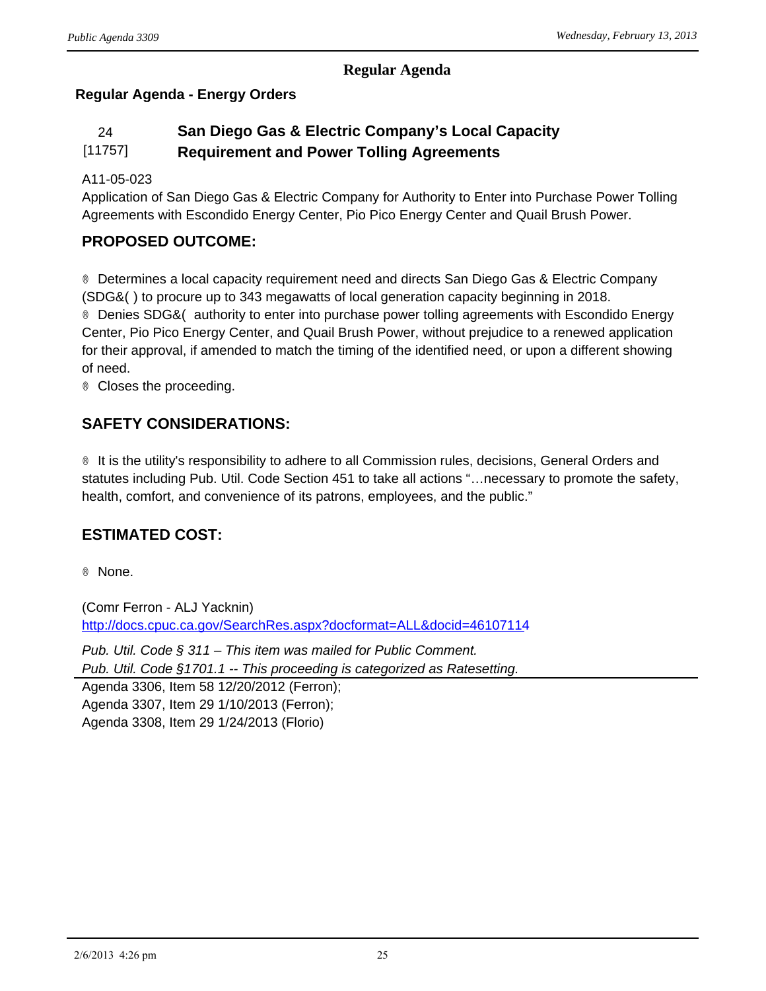#### **Regular Agenda**

## **Regular Agenda - Energy Orders**

#### 24 **San Diego Gas & Electric Company's Local Capacity**  [11757] **Requirement and Power Tolling Agreements**

#### A11-05-023

Application of San Diego Gas & Electric Company for Authority to Enter into Purchase Power Tolling Agreements with Escondido Energy Center, Pio Pico Energy Center and Quail Brush Power.

#### **PROPOSED OUTCOME:**

® Determines a local capacity requirement need and directs San Diego Gas & Electric Company (SDG&() to procure up to 343 megawatts of local generation capacity beginning in 2018. ® Denies SDG&( authority to enter into purchase power tolling agreements with Escondido Energy Center, Pio Pico Energy Center, and Quail Brush Power, without prejudice to a renewed application for their approval, if amended to match the timing of the identified need, or upon a different showing of need.

® Closes the proceeding.

### **SAFETY CONSIDERATIONS:**

® It is the utility's responsibility to adhere to all Commission rules, decisions, General Orders and statutes including Pub. Util. Code Section 451 to take all actions "…necessary to promote the safety, health, comfort, and convenience of its patrons, employees, and the public."

## **ESTIMATED COST:**

® None.

(Comr Ferron - ALJ Yacknin) <http://docs.cpuc.ca.gov/SearchRes.aspx?docformat=ALL&docid=46107114>

*Pub. Util. Code § 311 – This item was mailed for Public Comment. Pub. Util. Code §1701.1 -- This proceeding is categorized as Ratesetting.*

Agenda 3306, Item 58 12/20/2012 (Ferron); Agenda 3307, Item 29 1/10/2013 (Ferron); Agenda 3308, Item 29 1/24/2013 (Florio)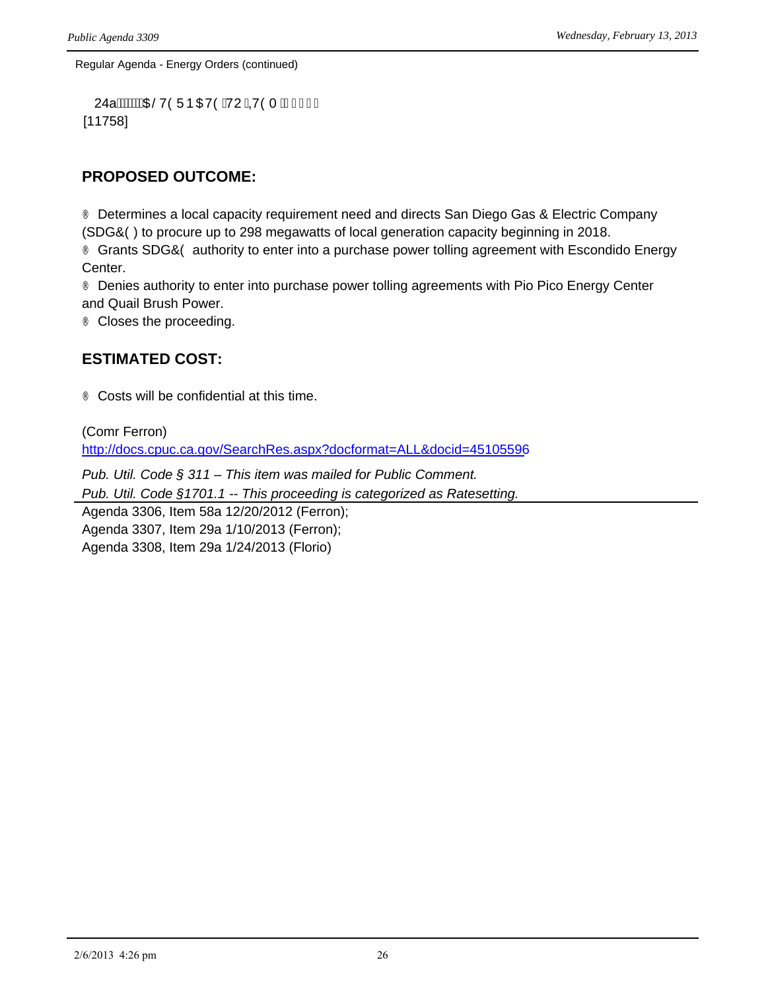Regular Agenda - Energy Orders (continued)

```
24a livili va brojekti (24a li 140 minus 140 minus 140 minus 140 minus 140 minus 140 minus 140 minus 140 minu
[11758]
```
### **PROPOSED OUTCOME:**

® Determines a local capacity requirement need and directs San Diego Gas & Electric Company (SDG&() to procure up to 298 megawatts of local generation capacity beginning in 2018. ® Grants SDG&O authority to enter into a purchase power tolling agreement with Escondido Energy Center.

® Denies authority to enter into purchase power tolling agreements with Pio Pico Energy Center and Quail Brush Power.

® Closes the proceeding.

### **ESTIMATED COST:**

® Costs will be confidential at this time.

(Comr Ferron) <http://docs.cpuc.ca.gov/SearchRes.aspx?docformat=ALL&docid=45105596>

*Pub. Util. Code § 311 – This item was mailed for Public Comment.*

*Pub. Util. Code §1701.1 -- This proceeding is categorized as Ratesetting.*

Agenda 3306, Item 58a 12/20/2012 (Ferron); Agenda 3307, Item 29a 1/10/2013 (Ferron); Agenda 3308, Item 29a 1/24/2013 (Florio)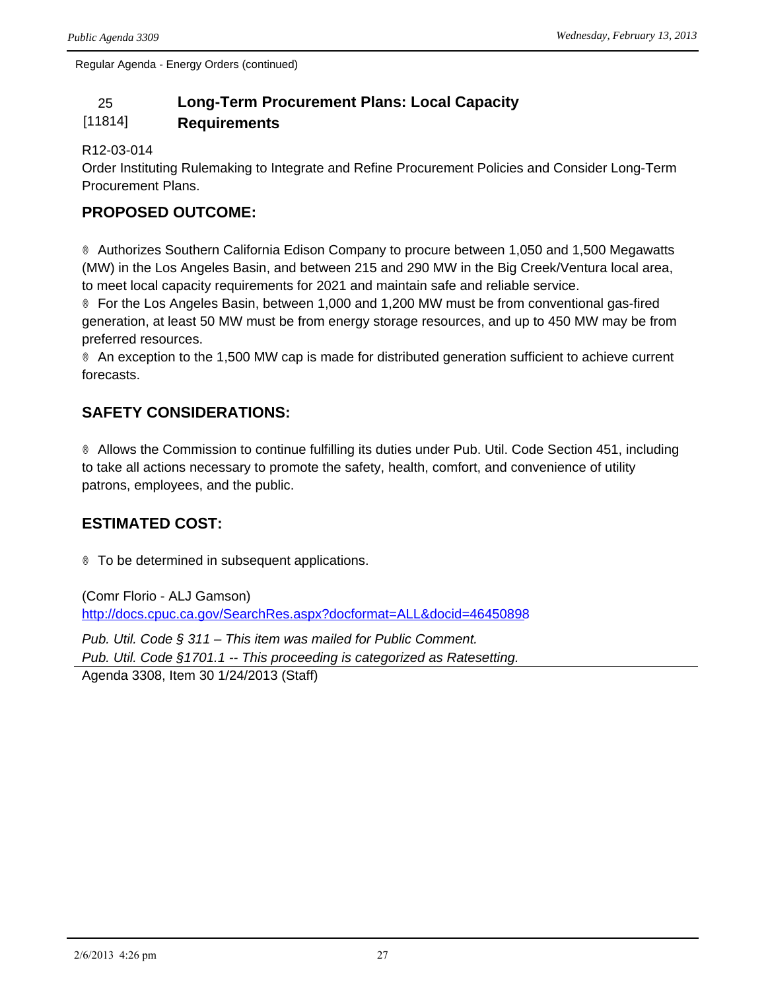Regular Agenda - Energy Orders (continued)

## 25 **Long-Term Procurement Plans: Local Capacity**

#### [11814] **Requirements**

#### R12-03-014

Order Instituting Rulemaking to Integrate and Refine Procurement Policies and Consider Long-Term Procurement Plans.

## **PROPOSED OUTCOME:**

® Authorizes Southern California Edison Company to procure between 1,050 and 1,500 Megawatts (MW) in the Los Angeles Basin, and between 215 and 290 MW in the Big Creek/Ventura local area, to meet local capacity requirements for 2021 and maintain safe and reliable service.

® For the Los Angeles Basin, between 1,000 and 1,200 MW must be from conventional gas-fired generation, at least 50 MW must be from energy storage resources, and up to 450 MW may be from preferred resources.

® An exception to the 1,500 MW cap is made for distributed generation sufficient to achieve current forecasts.

## **SAFETY CONSIDERATIONS:**

® Allows the Commission to continue fulfilling its duties under Pub. Util. Code Section 451, including to take all actions necessary to promote the safety, health, comfort, and convenience of utility patrons, employees, and the public.

## **ESTIMATED COST:**

® To be determined in subsequent applications.

(Comr Florio - ALJ Gamson) <http://docs.cpuc.ca.gov/SearchRes.aspx?docformat=ALL&docid=46450898>

*Pub. Util. Code § 311 – This item was mailed for Public Comment. Pub. Util. Code §1701.1 -- This proceeding is categorized as Ratesetting.* Agenda 3308, Item 30 1/24/2013 (Staff)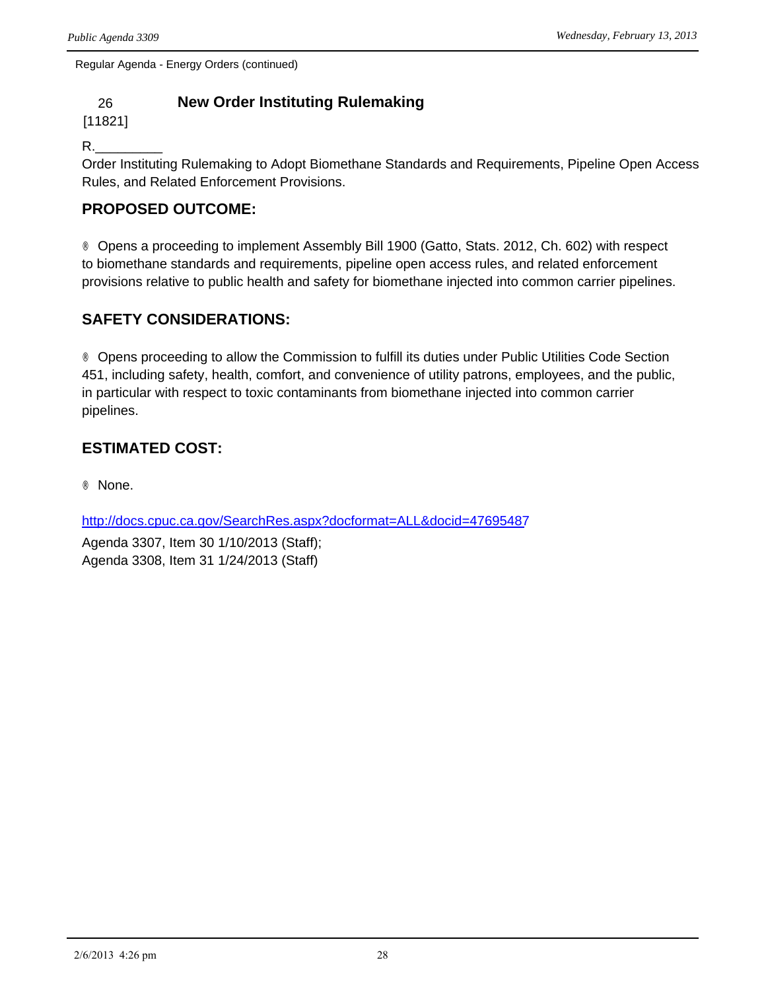Regular Agenda - Energy Orders (continued)

## 26 **New Order Instituting Rulemaking**

[11821]

R.\_\_\_\_\_\_\_\_\_

Order Instituting Rulemaking to Adopt Biomethane Standards and Requirements, Pipeline Open Access Rules, and Related Enforcement Provisions.

## **PROPOSED OUTCOME:**

® Opens a proceeding to implement Assembly Bill 1900 (Gatto, Stats. 2012, Ch. 602) with respect to biomethane standards and requirements, pipeline open access rules, and related enforcement provisions relative to public health and safety for biomethane injected into common carrier pipelines.

## **SAFETY CONSIDERATIONS:**

® Opens proceeding to allow the Commission to fulfill its duties under Public Utilities Code Section 451, including safety, health, comfort, and convenience of utility patrons, employees, and the public, in particular with respect to toxic contaminants from biomethane injected into common carrier pipelines.

## **ESTIMATED COST:**

® None.

<http://docs.cpuc.ca.gov/SearchRes.aspx?docformat=ALL&docid=47695487>

Agenda 3307, Item 30 1/10/2013 (Staff); Agenda 3308, Item 31 1/24/2013 (Staff)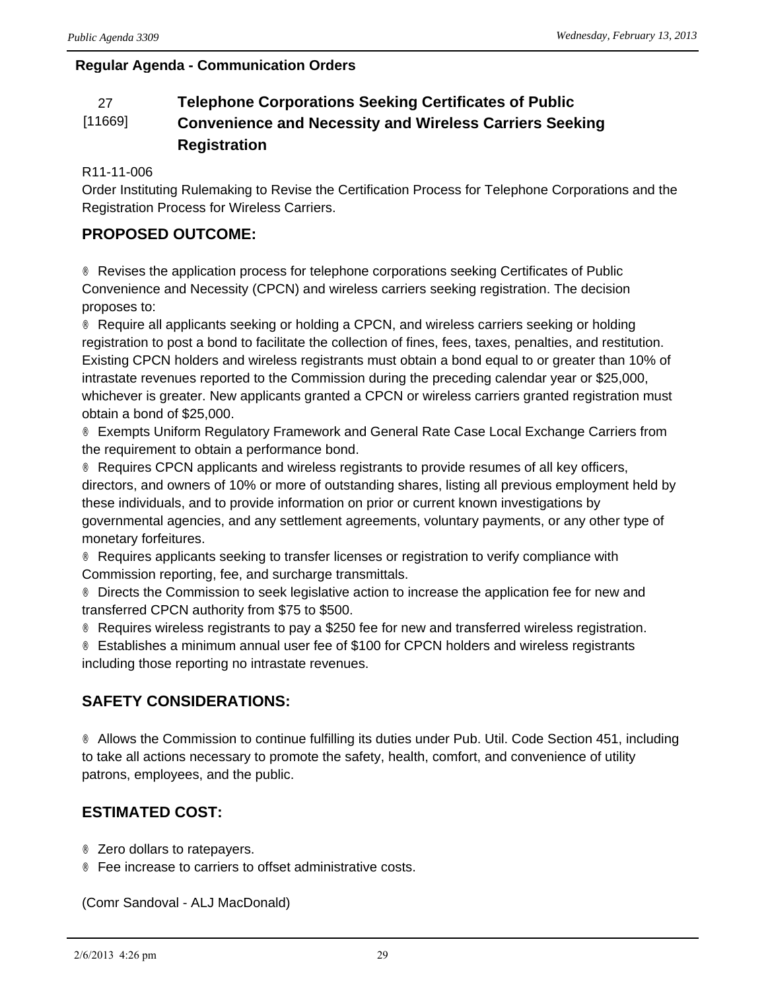#### **Regular Agenda - Communication Orders**

#### 27 **Telephone Corporations Seeking Certificates of Public**  [11669] **Convenience and Necessity and Wireless Carriers Seeking Registration**

#### R11-11-006

Order Instituting Rulemaking to Revise the Certification Process for Telephone Corporations and the Registration Process for Wireless Carriers.

## **PROPOSED OUTCOME:**

® Revises the application process for telephone corporations seeking Certificates of Public Convenience and Necessity (CPCN) and wireless carriers seeking registration. The decision proposes to:

® Require all applicants seeking or holding a CPCN, and wireless carriers seeking or holding registration to post a bond to facilitate the collection of fines, fees, taxes, penalties, and restitution. Existing CPCN holders and wireless registrants must obtain a bond equal to or greater than 10% of intrastate revenues reported to the Commission during the preceding calendar year or \$25,000, whichever is greater. New applicants granted a CPCN or wireless carriers granted registration must obtain a bond of \$25,000.

® Exempts Uniform Regulatory Framework and General Rate Case Local Exchange Carriers from the requirement to obtain a performance bond.

® Requires CPCN applicants and wireless registrants to provide resumes of all key officers, directors, and owners of 10% or more of outstanding shares, listing all previous employment held by these individuals, and to provide information on prior or current known investigations by governmental agencies, and any settlement agreements, voluntary payments, or any other type of monetary forfeitures.

® Requires applicants seeking to transfer licenses or registration to verify compliance with Commission reporting, fee, and surcharge transmittals.

® Directs the Commission to seek legislative action to increase the application fee for new and transferred CPCN authority from \$75 to \$500.

® Requires wireless registrants to pay a \$250 fee for new and transferred wireless registration.

® Establishes a minimum annual user fee of \$100 for CPCN holders and wireless registrants including those reporting no intrastate revenues.

## **SAFETY CONSIDERATIONS:**

® Allows the Commission to continue fulfilling its duties under Pub. Util. Code Section 451, including to take all actions necessary to promote the safety, health, comfort, and convenience of utility patrons, employees, and the public.

## **ESTIMATED COST:**

® Zero dollars to ratepayers.

® Fee increase to carriers to offset administrative costs.

(Comr Sandoval - ALJ MacDonald)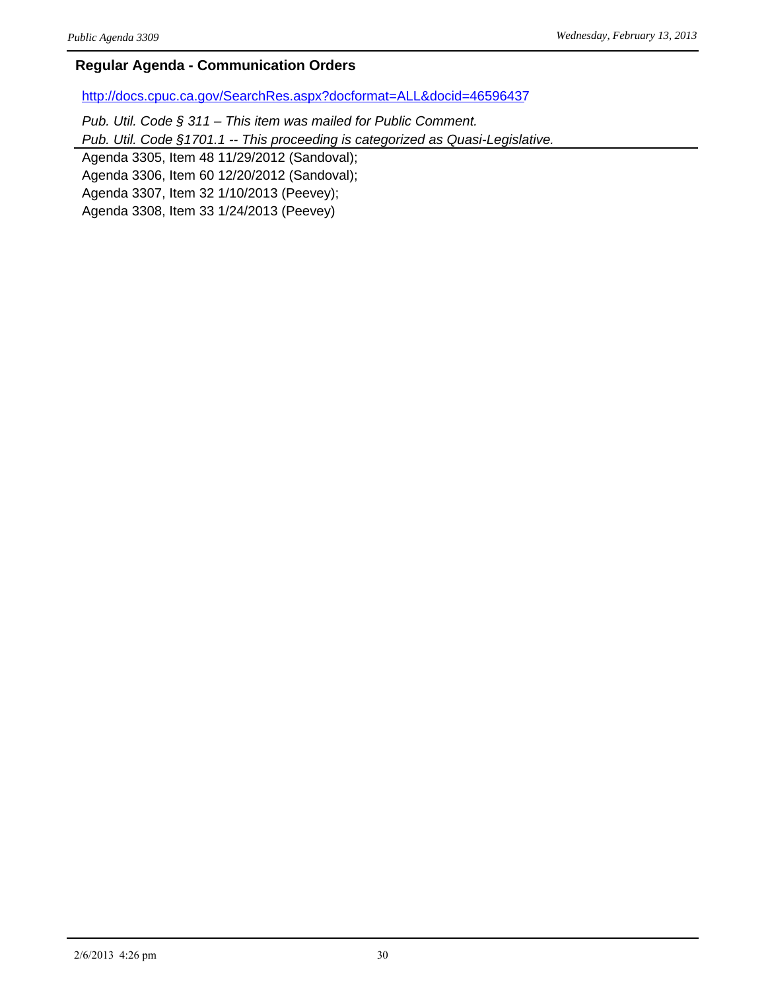#### **Regular Agenda - Communication Orders**

<http://docs.cpuc.ca.gov/SearchRes.aspx?docformat=ALL&docid=46596437>

*Pub. Util. Code § 311 – This item was mailed for Public Comment.*

*Pub. Util. Code §1701.1 -- This proceeding is categorized as Quasi-Legislative.*

Agenda 3305, Item 48 11/29/2012 (Sandoval);

Agenda 3306, Item 60 12/20/2012 (Sandoval);

Agenda 3307, Item 32 1/10/2013 (Peevey);

Agenda 3308, Item 33 1/24/2013 (Peevey)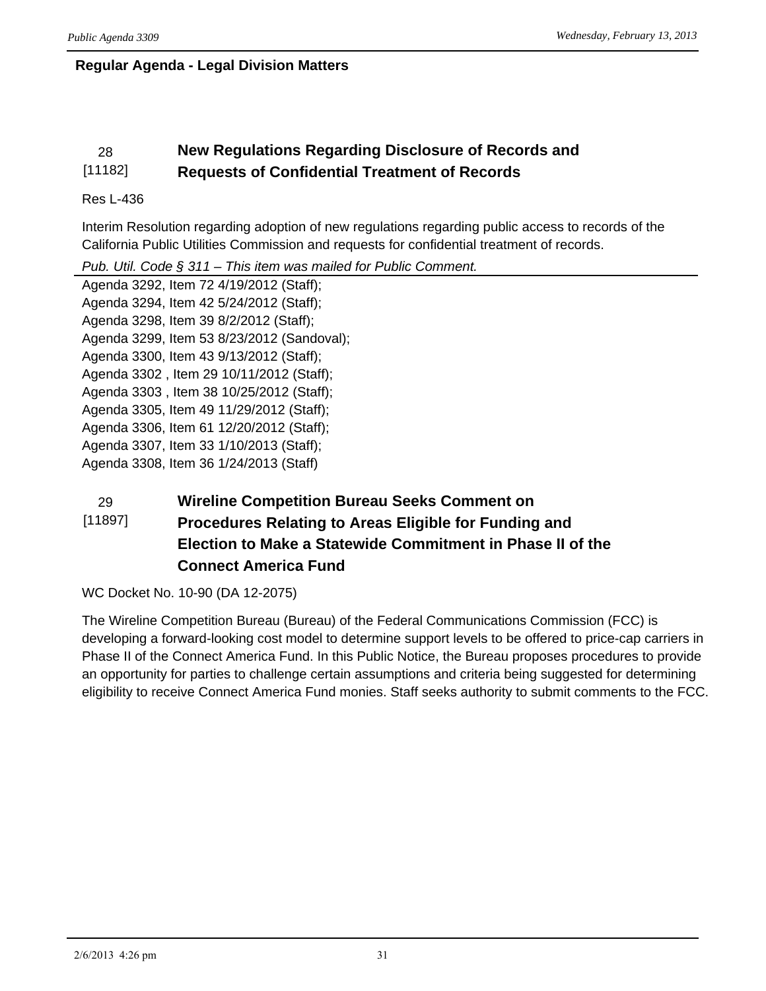### **Regular Agenda - Legal Division Matters**

#### 28 **New Regulations Regarding Disclosure of Records and**  [11182] **Requests of Confidential Treatment of Records**

#### Res L-436

Interim Resolution regarding adoption of new regulations regarding public access to records of the California Public Utilities Commission and requests for confidential treatment of records.

*Pub. Util. Code § 311 – This item was mailed for Public Comment.*

Agenda 3292, Item 72 4/19/2012 (Staff); Agenda 3294, Item 42 5/24/2012 (Staff); Agenda 3298, Item 39 8/2/2012 (Staff); Agenda 3299, Item 53 8/23/2012 (Sandoval); Agenda 3300, Item 43 9/13/2012 (Staff); Agenda 3302 , Item 29 10/11/2012 (Staff); Agenda 3303 , Item 38 10/25/2012 (Staff); Agenda 3305, Item 49 11/29/2012 (Staff); Agenda 3306, Item 61 12/20/2012 (Staff); Agenda 3307, Item 33 1/10/2013 (Staff); Agenda 3308, Item 36 1/24/2013 (Staff)

#### 29 **Wireline Competition Bureau Seeks Comment on**  [11897] **Procedures Relating to Areas Eligible for Funding and Election to Make a Statewide Commitment in Phase II of the Connect America Fund**

WC Docket No. 10-90 (DA 12-2075)

The Wireline Competition Bureau (Bureau) of the Federal Communications Commission (FCC) is developing a forward-looking cost model to determine support levels to be offered to price-cap carriers in Phase II of the Connect America Fund. In this Public Notice, the Bureau proposes procedures to provide an opportunity for parties to challenge certain assumptions and criteria being suggested for determining eligibility to receive Connect America Fund monies. Staff seeks authority to submit comments to the FCC.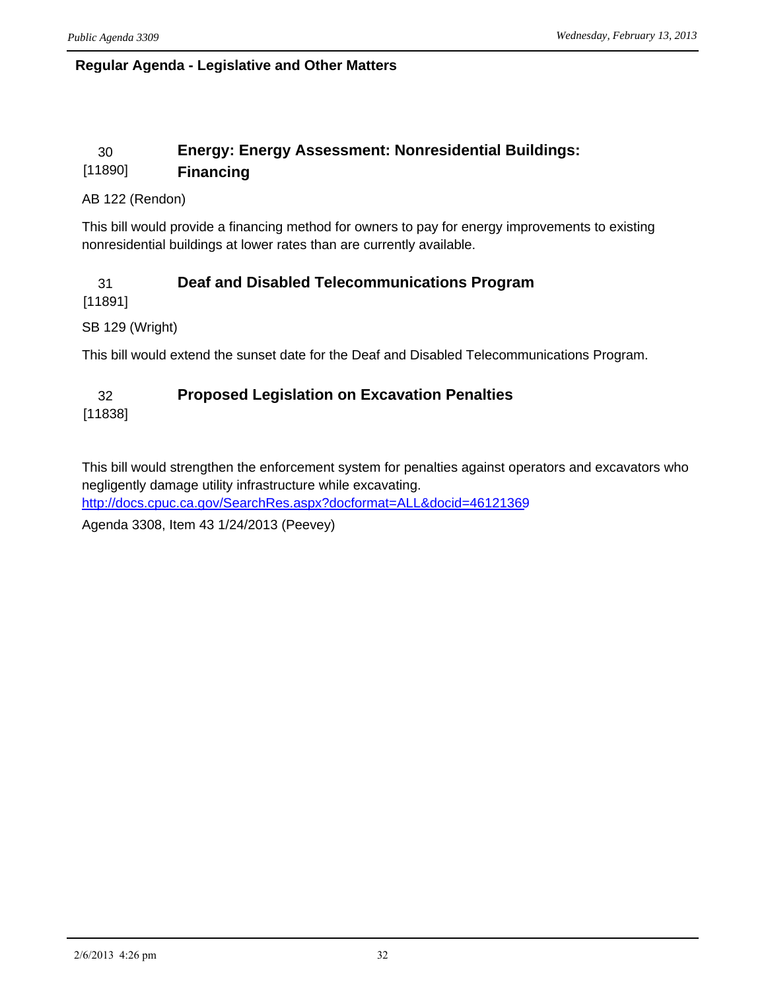#### **Regular Agenda - Legislative and Other Matters**

#### 30 **Energy: Energy Assessment: Nonresidential Buildings:**  [11890] **Financing**

#### AB 122 (Rendon)

This bill would provide a financing method for owners to pay for energy improvements to existing nonresidential buildings at lower rates than are currently available.

# 31 **Deaf and Disabled Telecommunications Program**

[11891]

SB 129 (Wright)

This bill would extend the sunset date for the Deaf and Disabled Telecommunications Program.

## 32 **Proposed Legislation on Excavation Penalties**

[11838]

This bill would strengthen the enforcement system for penalties against operators and excavators who negligently damage utility infrastructure while excavating.

<http://docs.cpuc.ca.gov/SearchRes.aspx?docformat=ALL&docid=46121369>

Agenda 3308, Item 43 1/24/2013 (Peevey)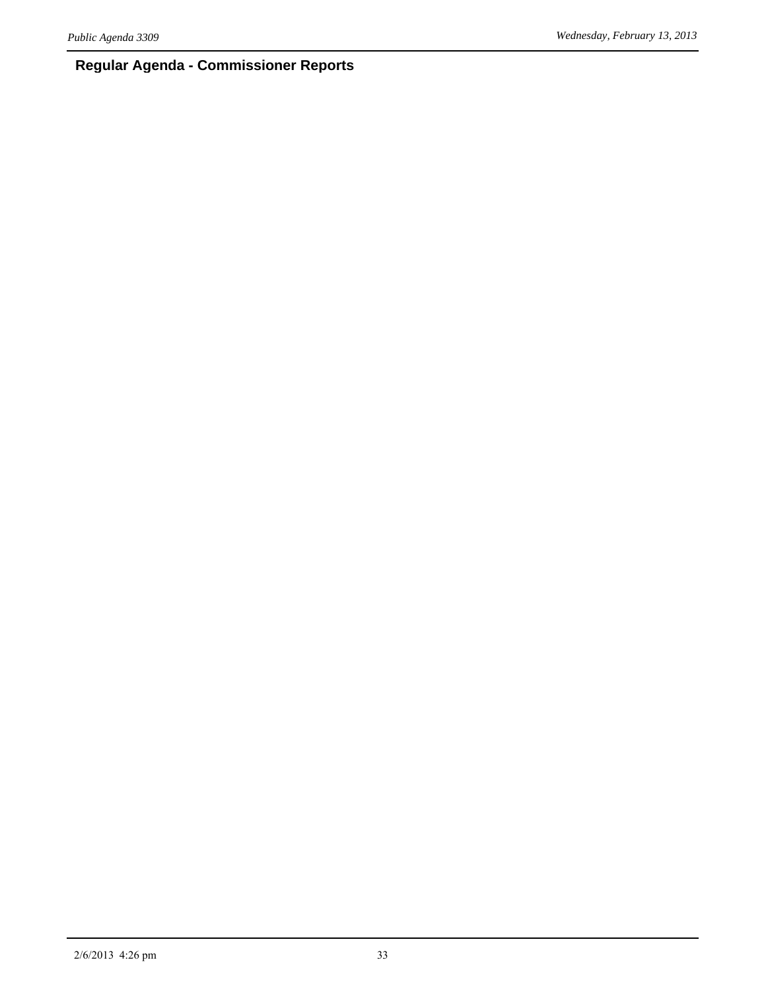# **Regular Agenda - Commissioner Reports**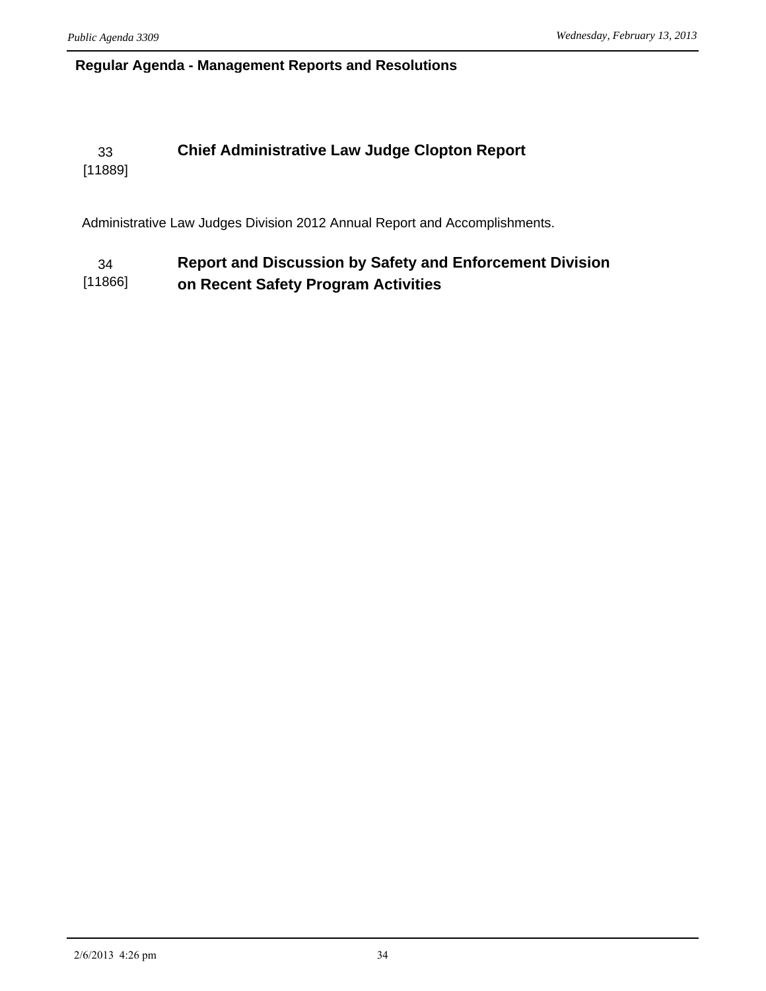#### **Regular Agenda - Management Reports and Resolutions**

# 33 **Chief Administrative Law Judge Clopton Report**

[11889]

Administrative Law Judges Division 2012 Annual Report and Accomplishments.

#### 34 **Report and Discussion by Safety and Enforcement Division**  [11866] **on Recent Safety Program Activities**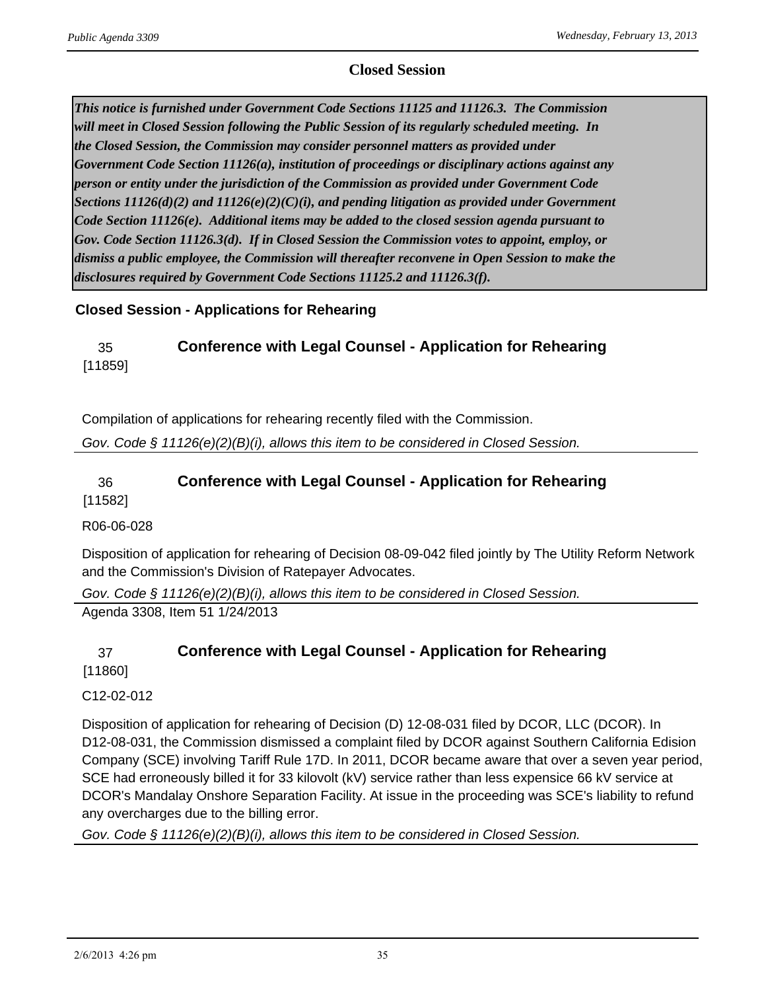#### **Closed Session**

*This notice is furnished under Government Code Sections 11125 and 11126.3. The Commission will meet in Closed Session following the Public Session of its regularly scheduled meeting. In the Closed Session, the Commission may consider personnel matters as provided under Government Code Section 11126(a), institution of proceedings or disciplinary actions against any person or entity under the jurisdiction of the Commission as provided under Government Code Sections 11126(d)(2) and 11126(e)(2)(C)(i), and pending litigation as provided under Government Code Section 11126(e). Additional items may be added to the closed session agenda pursuant to Gov. Code Section 11126.3(d). If in Closed Session the Commission votes to appoint, employ, or dismiss a public employee, the Commission will thereafter reconvene in Open Session to make the disclosures required by Government Code Sections 11125.2 and 11126.3(f).*

#### **Closed Session - Applications for Rehearing**

#### 35 **Conference with Legal Counsel - Application for Rehearing** [11859]

Compilation of applications for rehearing recently filed with the Commission.

*Gov. Code § 11126(e)(2)(B)(i), allows this item to be considered in Closed Session.*

#### 36 **Conference with Legal Counsel - Application for Rehearing** [11582]

R06-06-028

Disposition of application for rehearing of Decision 08-09-042 filed jointly by The Utility Reform Network and the Commission's Division of Ratepayer Advocates.

*Gov. Code § 11126(e)(2)(B)(i), allows this item to be considered in Closed Session.* Agenda 3308, Item 51 1/24/2013

# 37 **Conference with Legal Counsel - Application for Rehearing**

[11860]

C12-02-012

Disposition of application for rehearing of Decision (D) 12-08-031 filed by DCOR, LLC (DCOR). In D12-08-031, the Commission dismissed a complaint filed by DCOR against Southern California Edision Company (SCE) involving Tariff Rule 17D. In 2011, DCOR became aware that over a seven year period, SCE had erroneously billed it for 33 kilovolt (kV) service rather than less expensice 66 kV service at DCOR's Mandalay Onshore Separation Facility. At issue in the proceeding was SCE's liability to refund any overcharges due to the billing error.

*Gov. Code § 11126(e)(2)(B)(i), allows this item to be considered in Closed Session.*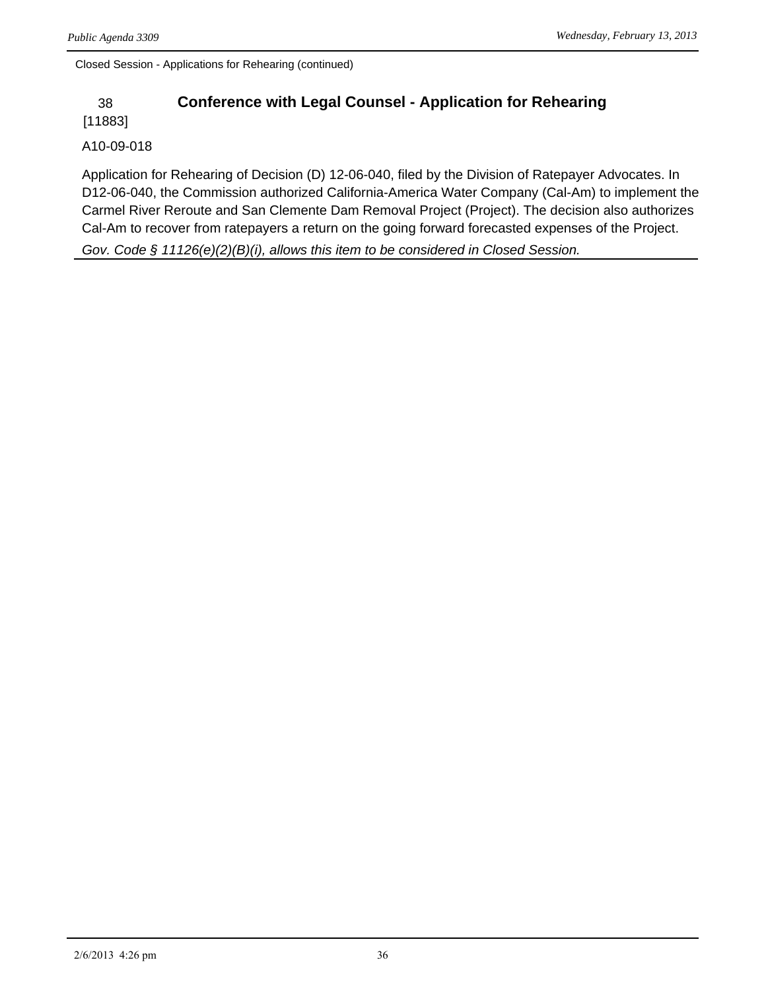Closed Session - Applications for Rehearing (continued)

## 38 **Conference with Legal Counsel - Application for Rehearing**

[11883]

#### A10-09-018

Application for Rehearing of Decision (D) 12-06-040, filed by the Division of Ratepayer Advocates. In D12-06-040, the Commission authorized California-America Water Company (Cal-Am) to implement the Carmel River Reroute and San Clemente Dam Removal Project (Project). The decision also authorizes Cal-Am to recover from ratepayers a return on the going forward forecasted expenses of the Project.

*Gov. Code § 11126(e)(2)(B)(i), allows this item to be considered in Closed Session.*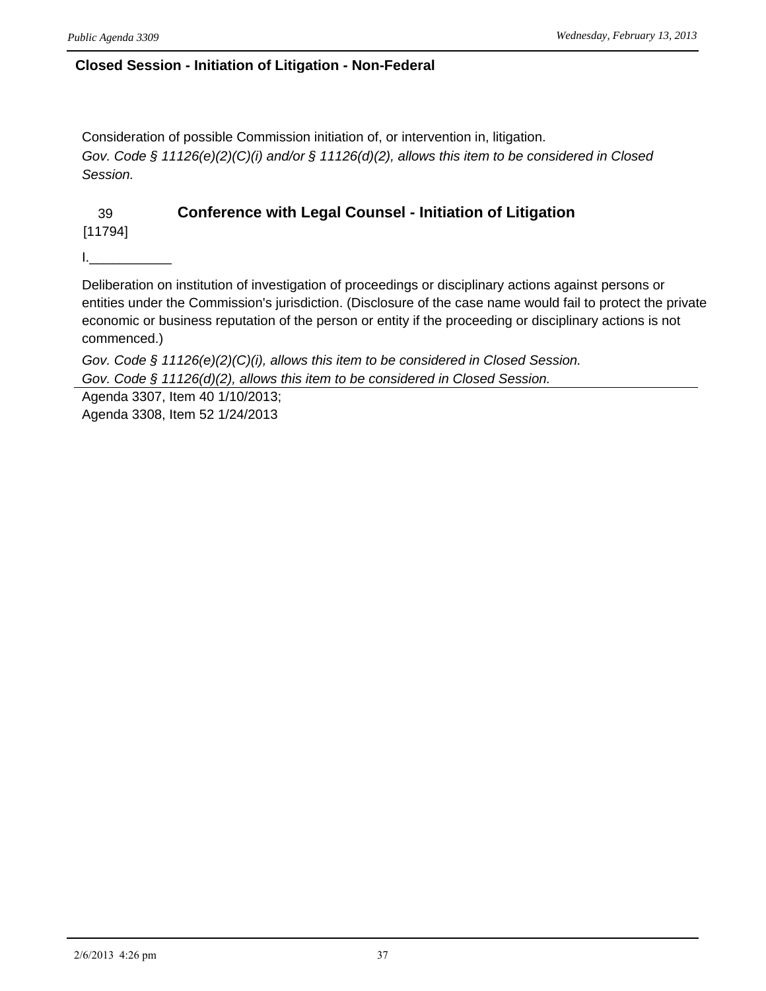#### **Closed Session - Initiation of Litigation - Non-Federal**

Consideration of possible Commission initiation of, or intervention in, litigation. *Gov. Code § 11126(e)(2)(C)(i) and/or § 11126(d)(2), allows this item to be considered in Closed Session.*

## 39 **Conference with Legal Counsel - Initiation of Litigation**

[11794]

I.\_\_\_\_\_\_\_\_\_\_\_

Deliberation on institution of investigation of proceedings or disciplinary actions against persons or entities under the Commission's jurisdiction. (Disclosure of the case name would fail to protect the private economic or business reputation of the person or entity if the proceeding or disciplinary actions is not commenced.)

*Gov. Code § 11126(e)(2)(C)(i), allows this item to be considered in Closed Session. Gov. Code § 11126(d)(2), allows this item to be considered in Closed Session.*

Agenda 3307, Item 40 1/10/2013; Agenda 3308, Item 52 1/24/2013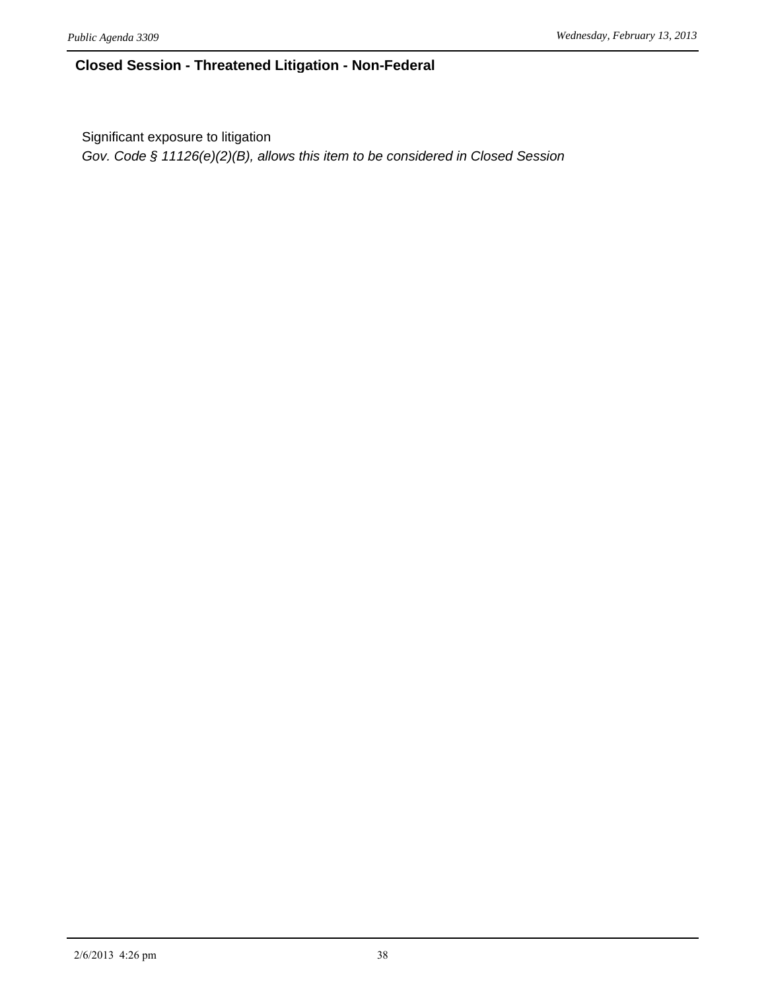#### **Closed Session - Threatened Litigation - Non-Federal**

Significant exposure to litigation

*Gov. Code § 11126(e)(2)(B), allows this item to be considered in Closed Session*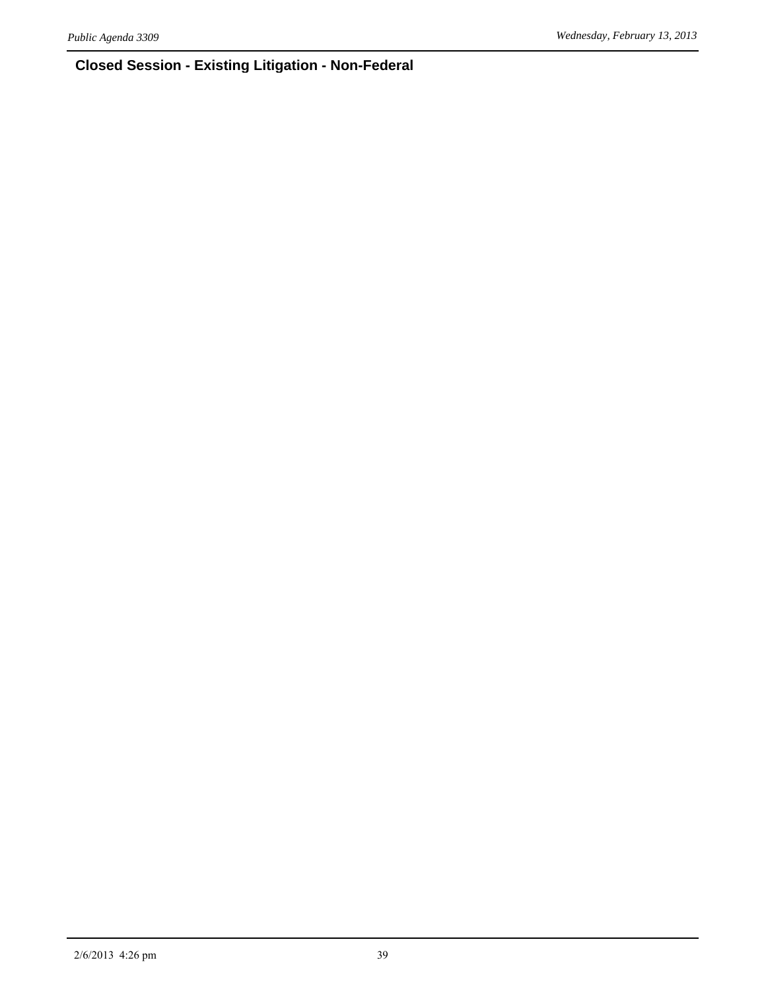# **Closed Session - Existing Litigation - Non-Federal**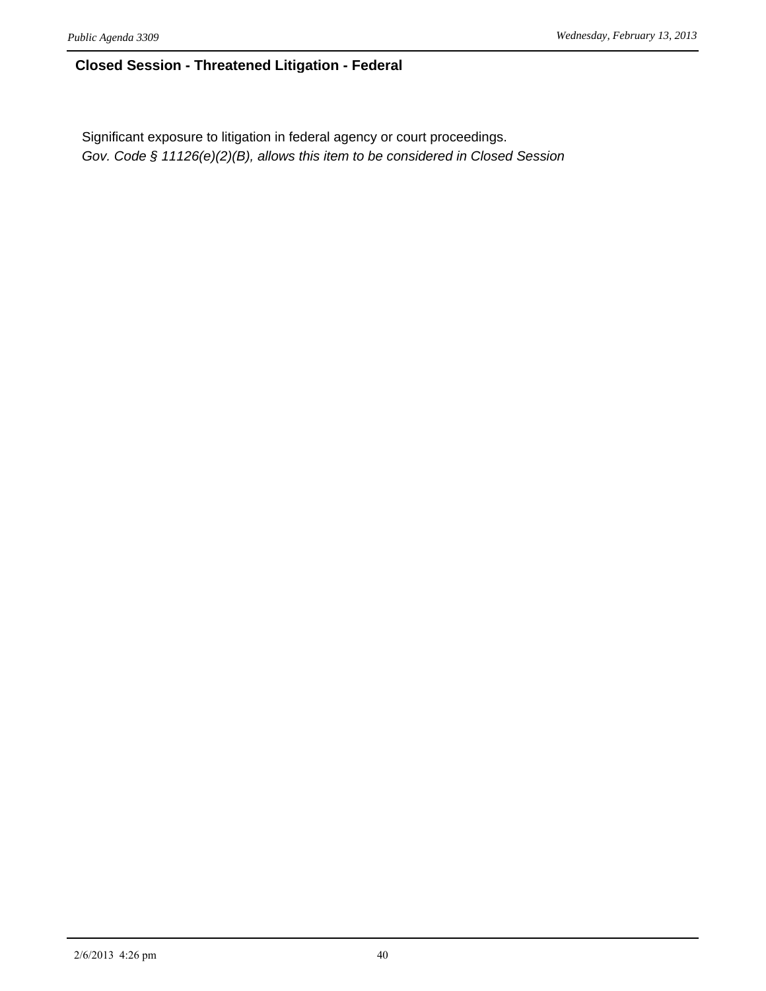#### **Closed Session - Threatened Litigation - Federal**

Significant exposure to litigation in federal agency or court proceedings. *Gov. Code § 11126(e)(2)(B), allows this item to be considered in Closed Session*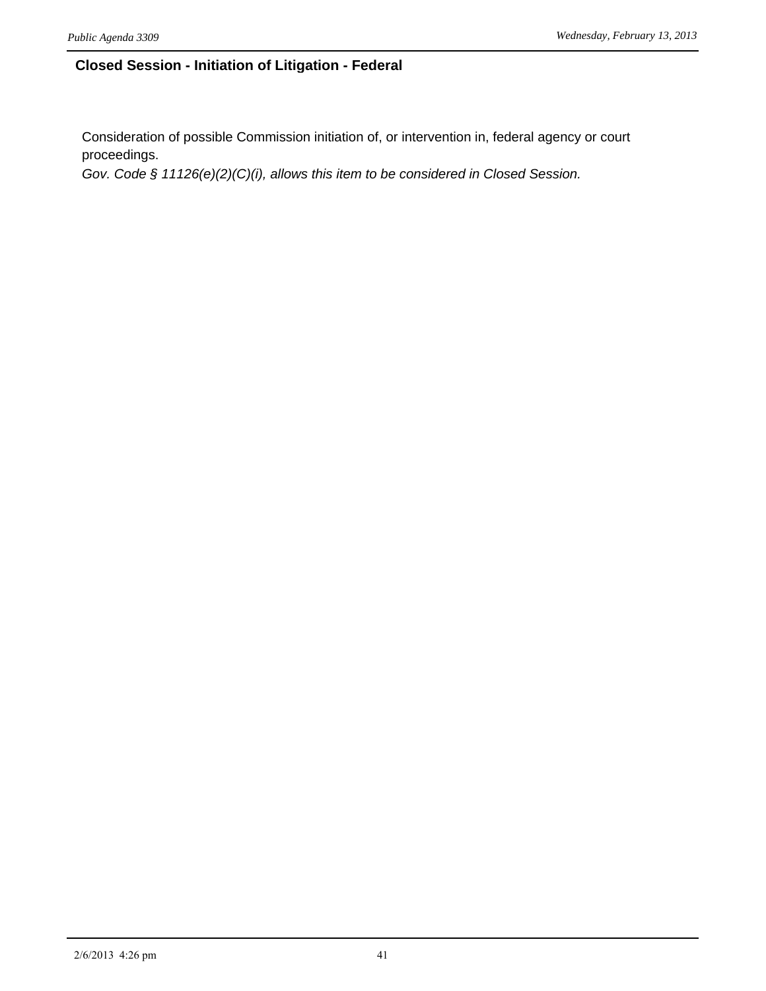#### **Closed Session - Initiation of Litigation - Federal**

Consideration of possible Commission initiation of, or intervention in, federal agency or court proceedings.

*Gov. Code § 11126(e)(2)(C)(i), allows this item to be considered in Closed Session.*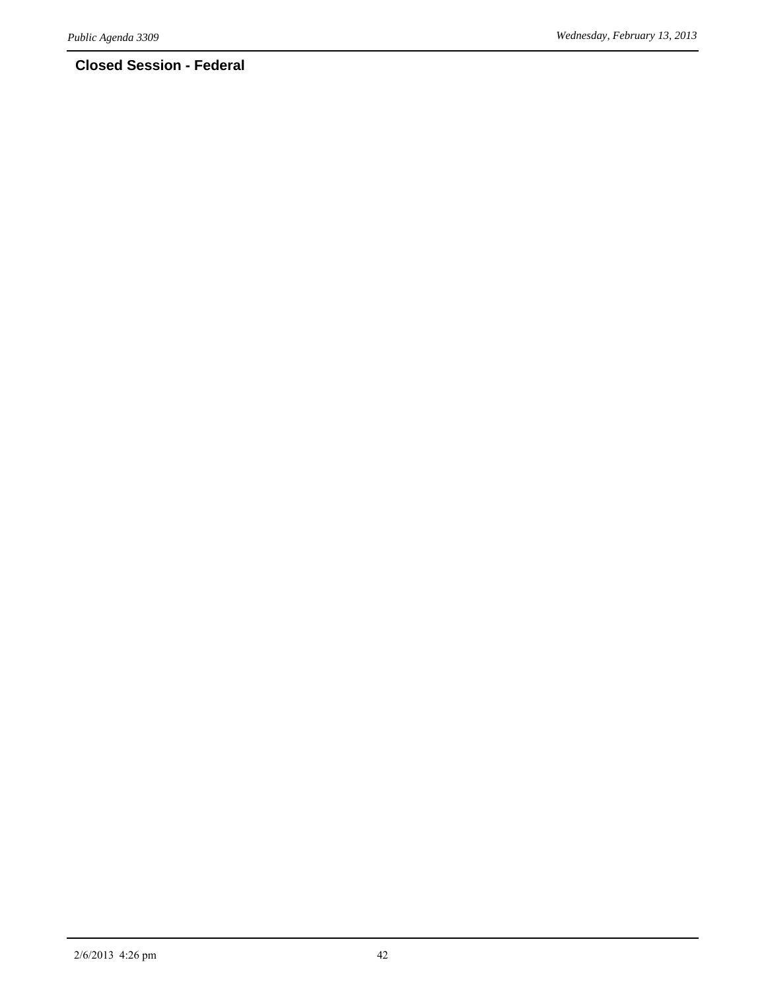## **Closed Session - Federal**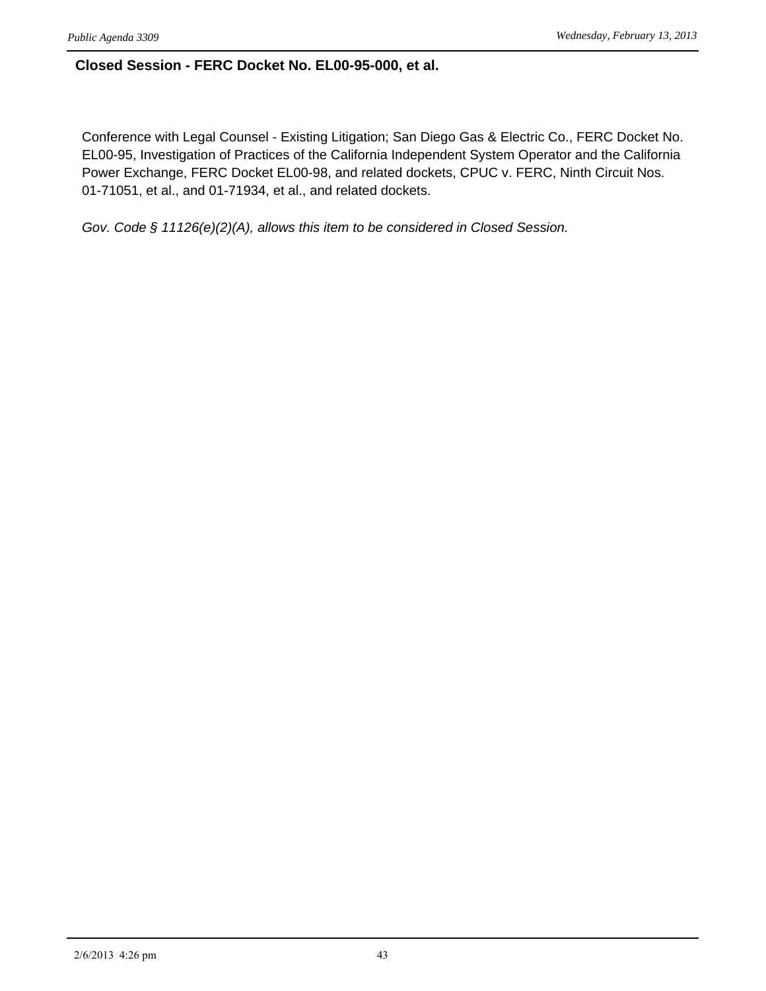#### **Closed Session - FERC Docket No. EL00-95-000, et al.**

Conference with Legal Counsel - Existing Litigation; San Diego Gas & Electric Co., FERC Docket No. EL00-95, Investigation of Practices of the California Independent System Operator and the California Power Exchange, FERC Docket EL00-98, and related dockets, CPUC v. FERC, Ninth Circuit Nos. 01-71051, et al., and 01-71934, et al., and related dockets.

*Gov. Code § 11126(e)(2)(A), allows this item to be considered in Closed Session.*